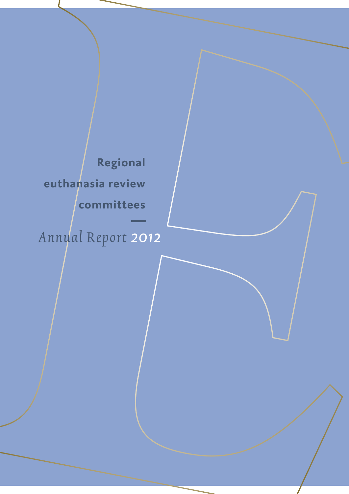**Regional euthanasia review committees**  Annual Report *2012*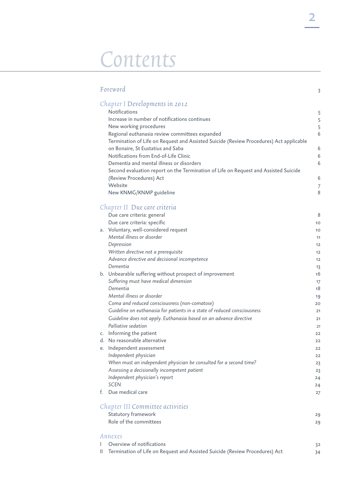# Contents

|    | Foreword                                                                               | 3        |
|----|----------------------------------------------------------------------------------------|----------|
|    | Chapter I Developments in 2012                                                         |          |
|    | Notifications                                                                          | 5        |
|    | Increase in number of notifications continues                                          | 5        |
|    | New working procedures                                                                 | 5        |
|    | Regional euthanasia review committees expanded                                         | 6        |
|    | Termination of Life on Request and Assisted Suicide (Review Procedures) Act applicable |          |
|    | on Bonaire, St Eustatius and Saba                                                      | 6        |
|    | Notifications from End-of-Life Clinic                                                  | 6        |
|    | Dementia and mental illness or disorders                                               | 6        |
|    | Second evaluation report on the Termination of Life on Request and Assisted Suicide    |          |
|    | (Review Procedures) Act                                                                | 6        |
|    | Website                                                                                | 7        |
|    | New KNMG/KNMP guideline                                                                | 8        |
|    | Chapter II Due care criteria                                                           |          |
|    | Due care criteria: general                                                             | 8        |
|    | Due care criteria: specific                                                            | 10       |
|    | a. Voluntary, well-considered request                                                  | 10       |
|    | Mental illness or disorder                                                             | 11       |
|    | Depression                                                                             | 12       |
|    | Written directive not a prerequisite                                                   | 12       |
|    | Advance directive and decisional incompetence                                          | 12       |
|    | Dementia                                                                               | 13       |
|    | b. Unbearable suffering without prospect of improvement                                | 16       |
|    | Suffering must have medical dimension                                                  | 17       |
|    | Dementia                                                                               | 18       |
|    | Mental illness or disorder                                                             | 19       |
|    | Coma and reduced consciousness (non-comatose)                                          | 20       |
|    | Guideline on euthanasia for patients in a state of reduced consciousness               | 21       |
|    | Guideline does not apply. Euthanasia based on an advance directive                     | 21       |
|    | Palliative sedation                                                                    | 21       |
|    | c. Informing the patient<br>d. No reasonable alternative                               | 22       |
|    | e. Independent assessment                                                              | 22       |
|    | Independent physician                                                                  | 22       |
|    | When must an independent physician be consulted for a second time?                     | 22       |
|    | Assessing a decisionally incompetent patient                                           | 23<br>23 |
|    | Independent physician's report                                                         | 24       |
|    | <b>SCEN</b>                                                                            | 24       |
| f. | Due medical care                                                                       | 27       |
|    | Chapter III Committee activities                                                       |          |
|    | Statutory framework                                                                    |          |
|    | Role of the committees                                                                 | 29<br>29 |
|    | Annexes                                                                                |          |
|    | Overview of notifications                                                              |          |
| Ш  | Termination of Life on Request and Assisted Suicide (Review Procedures) Act            | 32<br>34 |
|    |                                                                                        |          |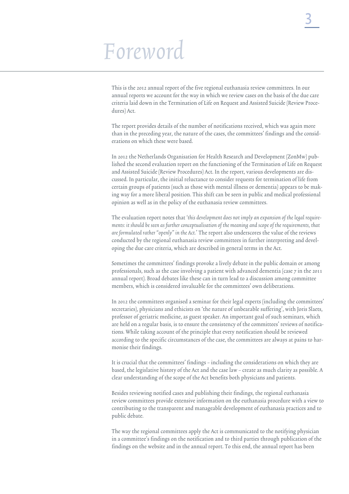# Foreword

This is the 2012 annual report of the five regional euthanasia review committees. In our annual reports we account for the way in which we review cases on the basis of the due care criteria laid down in the Termination of Life on Request and Assisted Suicide (Review Procedures) Act.

The report provides details of the number of notifications received, which was again more than in the preceding year, the nature of the cases, the committees' findings and the considerations on which these were based.

In 2012 the Netherlands Organisation for Health Research and Development (ZonMw) published the second evaluation report on the functioning of the Termination of Life on Request and Assisted Suicide (Review Procedures) Act. In the report, various developments are discussed. In particular, the initial reluctance to consider requests for termination of life from certain groups of patients (such as those with mental illness or dementia) appears to be making way for a more liberal position. This shift can be seen in public and medical professional opinion as well as in the policy of the euthanasia review committees.

The evaluation report notes that 'this development does not imply an expansion of the legal requirements: it should be seen as further conceptualisation of the meaning and scope of the requirements, that are formulated rather "openly" in the Act.' The report also underscores the value of the reviews conducted by the regional euthanasia review committees in further interpreting and developing the due care criteria, which are described in general terms in the Act.

Sometimes the committees' findings provoke a lively debate in the public domain or among professionals, such as the case involving a patient with advanced dementia (case 7 in the 2011 annual report). Broad debates like these can in turn lead to a discussion among committee members, which is considered invaluable for the committees' own deliberations.

In 2012 the committees organised a seminar for their legal experts (including the committees' secretaries), physicians and ethicists on 'the nature of unbearable suffering', with Joris Slaets, professor of geriatric medicine, as guest speaker. An important goal of such seminars, which are held on a regular basis, is to ensure the consistency of the committees' reviews of notifications. While taking account of the principle that every notification should be reviewed according to the specific circumstances of the case, the committees are always at pains to harmonise their findings.

It is crucial that the committees' findings – including the considerations on which they are based, the legislative history of the Act and the case law – create as much clarity as possible. A clear understanding of the scope of the Act benefits both physicians and patients.

Besides reviewing notified cases and publishing their findings, the regional euthanasia review committees provide extensive information on the euthanasia procedure with a view to contributing to the transparent and manageable development of euthanasia practices and to public debate.

The way the regional committees apply the Act is communicated to the notifying physician in a committee's findings on the notification and to third parties through publication of the findings on the website and in the annual report. To this end, the annual report has been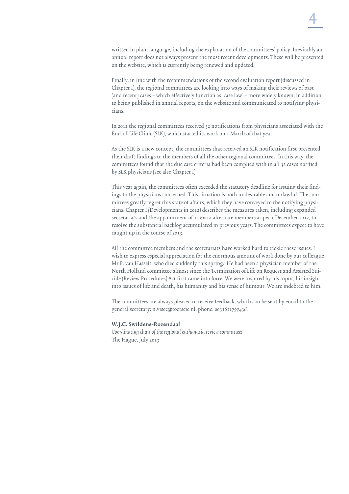written in plain language, including the explanation of the committees' policy. Inevitably an annual report does not always present the most recent developments. These will be presented on the website, which is currently being renewed and updated.

Finally, in line with the recommendations of the second evaluation report (discussed in Chapter I), the regional committees are looking into ways of making their reviews of past (and recent) cases – which effectively function as 'case law' – more widely known, in addition to being published in annual reports, on the website and communicated to notifying physicians.

In 2012 the regional committees received 32 notifications from physicians associated with the End-of-Life Clinic (SLK), which started its work on 1 March of that year.

As the SLK is a new concept, the committees that received an SLK notification first presented their draft findings to the members of all the other regional committees. In this way, the committees found that the due care criteria had been complied with in all 32 cases notified by SLK physicians (see also Chapter I).

This year again, the committees often exceeded the statutory deadline for issuing their findings to the physicians concerned. This situation is both undesirable and unlawful. The committees greatly regret this state of affairs, which they have conveyed to the notifying physicians. Chapter I (Developments in 2012) describes the measures taken, including expanded secretariats and the appointment of 15 extra alternate members as per 1 December 2012, to resolve the substantial backlog accumulated in previous years. The committees expect to have caught up in the course of 2013.

All the committee members and the secretariats have worked hard to tackle these issues. I wish to express especial appreciation for the enormous amount of work done by our colleague Mr P. van Hasselt, who died suddenly this spring. He had been a physician member of the North Holland committee almost since the Termination of Life on Request and Assisted Suicide (Review Procedures) Act first came into force. We were inspired by his input, his insight into issues of life and death, his humanity and his sense of humour. We are indebted to him.

The committees are always pleased to receive feedback, which can be sent by email to the general secretary: n.visee@toetscie.nl, phone: 0031611797436.

### W.J.C. Swildens-Rozendaal

Coordinating chair of the regional euthanasia review committees The Hague, July 2013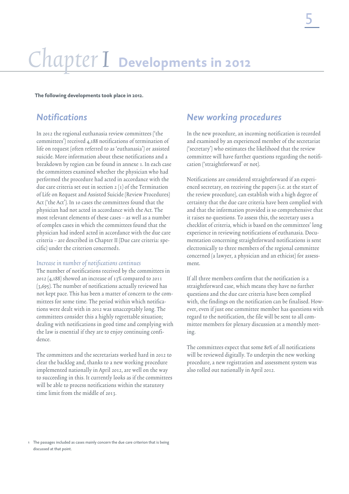# Chapter I **Developments in 2012**

**The following developments took place in 2012.**

## *Notifications*

In 2012 the regional euthanasia review committees ('the committees') received 4,188 notifications of termination of life on request (often referred to as 'euthanasia') or assisted suicide. More information about these notifications and a breakdown by region can be found in annexe 1. In each case the committees examined whether the physician who had performed the procedure had acted in accordance with the due care criteria set out in section 2 (1) of the Termination of Life on Request and Assisted Suicide (Review Procedures) Act ('the Act'). In 10 cases the committees found that the physician had not acted in accordance with the Act. The most relevant elements of these cases – as well as a number of complex cases in which the committees found that the physician had indeed acted in accordance with the due care criteria – are described in Chapter II (Due care criteria: specific) under the criterion concerned1.

### Increase in number of notifications continues

The number of notifications received by the committees in 2012 (4,188) showed an increase of 13% compared to 2011 (3,695). The number of notifications actually reviewed has not kept pace. This has been a matter of concern to the committees for some time. The period within which notifications were dealt with in 2012 was unacceptably long. The committees consider this a highly regrettable situation; dealing with notifications in good time and complying with the law is essential if they are to enjoy continuing confidence.

The committees and the secretariats worked hard in 2012 to clear the backlog and, thanks to a new working procedure implemented nationally in April 2012, are well on the way to succeeding in this. It currently looks as if the committees will be able to process notifications within the statutory time limit from the middle of 2013.

## *New working procedures*

In the new procedure, an incoming notification is recorded and examined by an experienced member of the secretariat ('secretary') who estimates the likelihood that the review committee will have further questions regarding the notification ('straightforward' or not).

Notifications are considered straightforward if an experienced secretary, on receiving the papers (i.e. at the start of the review procedure), can establish with a high degree of certainty that the due care criteria have been complied with and that the information provided is so comprehensive that it raises no questions. To assess this, the secretary uses a checklist of criteria, which is based on the committees' long experience in reviewing notifications of euthanasia. Documentation concerning straightforward notifications is sent electronically to three members of the regional committee concerned (a lawyer, a physician and an ethicist) for assessment.

If all three members confirm that the notification is a straightforward case, which means they have no further questions and the due care criteria have been complied with, the findings on the notification can be finalised. However, even if just one committee member has questions with regard to the notification, the file will be sent to all committee members for plenary discussion at a monthly meeting.

The committees expect that some 80% of all notifications will be reviewed digitally. To underpin the new working procedure, a new registration and assessment system was also rolled out nationally in April 2012.

<sup>1</sup> The passages included as cases mainly concern the due care criterion that is being discussed at that point.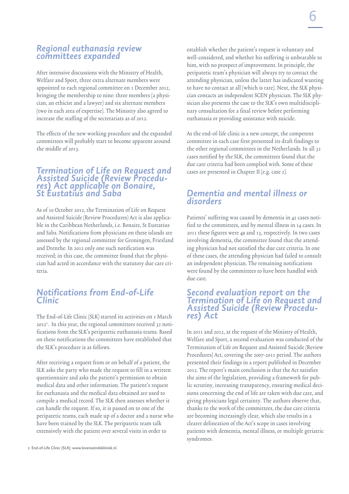## *Regional euthanasia review committees expanded*

After intensive discussions with the Ministry of Health, Welfare and Sport, three extra alternate members were appointed to each regional committee on 1 December 2012, bringing the membership to nine: three members (a physician, an ethicist and a lawyer) and six alternate members (two in each area of expertise). The Ministry also agreed to increase the staffing of the secretariats as of 2012.

The effects of the new working procedure and the expanded committees will probably start to become apparent around the middle of 2013.

## *Termination of Life on Request and Assisted Suicide (Review Procedu- res) Act applicable on Bonaire, St Eustatius and Saba*

As of 10 October 2012, the Termination of Life on Request and Assisted Suicide (Review Procedures) Act is also applicable in the Caribbean Netherlands, i.e. Bonaire, St Eustatius and Saba. Notifications from physicians on these islands are assessed by the regional committee for Groningen, Friesland and Drenthe. In 2012 only one such notification was received; in this case, the committee found that the physician had acted in accordance with the statutory due care criteria.

## *Notifications from End-of-Life Clinic*

The End-of-Life Clinic (SLK) started its activities on 1 March 20122 . In this year, the regional committees received 32 notifications from the SLK's peripatetic euthanasia teams. Based on these notifications the committees have established that the SLK's procedure is as follows.

After receiving a request from or on behalf of a patient, the SLK asks the party who made the request to fill in a written questionnaire and asks the patient's permission to obtain medical data and other information. The patient's request for euthanasia and the medical data obtained are used to compile a medical record. The SLK then assesses whether it can handle the request. If so, it is passed on to one of the peripatetic teams, each made up of a doctor and a nurse who have been trained by the SLK. The peripatetic team talk extensively with the patient over several visits in order to

establish whether the patient's request is voluntary and well-considered, and whether his suffering is unbearable to him, with no prospect of improvement. In principle, the peripatetic team's physician will always try to contact the attending physician, unless the latter has indicated wanting to have no contact at all (which is rare). Next, the SLK physician contacts an independent SCEN physician. The SLK physician also presents the case to the SLK's own multidisciplinary consultation for a final review before performing euthanasia or providing assistance with suicide.

As the end-of-life clinic is a new concept, the competent committee in each case first presented its draft findings to the other regional committees in the Netherlands. In all 32 cases notified by the SLK, the committees found that the due care criteria had been complied with. Some of these cases are presented in Chapter II (e.g. case 2).

## *Dementia and mental illness or disorders*

Patients' suffering was caused by dementia in 42 cases notified to the committees, and by mental illness in 14 cases. In 2011 these figures were 49 and 13, respectively. In two cases involving dementia, the committee found that the attending physician had not satisfied the due care criteria. In one of these cases, the attending physician had failed to consult an independent physician. The remaining notifications were found by the committees to have been handled with due care.

## *Second evaluation report on the Termination of Life on Request and Assisted Suicide (Review Procedu- res) Act*

In 2011 and 2012, at the request of the Ministry of Health, Welfare and Sport, a second evaluation was conducted of the Termination of Life on Request and Assisted Suicide (Review Procedures) Act, covering the 2007-2011 period. The authors presented their findings in a report published in December 2012. The report's main conclusion is that the Act satisfies the aims of the legislation, providing a framework for public scrutiny, increasing transparency, ensuring medical decisions concerning the end of life are taken with due care, and giving physicians legal certainty. The authors observe that, thanks to the work of the committees, the due care criteria are becoming increasingly clear, which also results in a clearer delineation of the Act's scope in cases involving patients with dementia, mental illness, or multiple geriatric syndromes.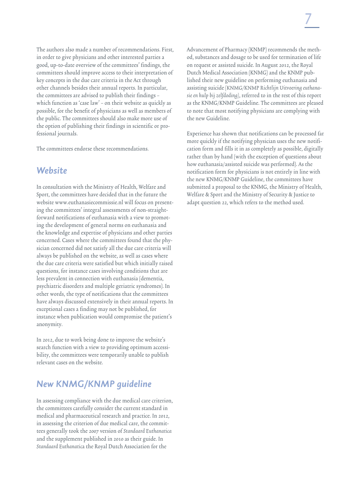The authors also made a number of recommendations. First, in order to give physicians and other interested parties a good, up-to-date overview of the committees' findings, the committees should improve access to their interpretation of key concepts in the due care criteria in the Act through other channels besides their annual reports. In particular, the committees are advised to publish their findings – which function as 'case law' – on their website as quickly as possible, for the benefit of physicians as well as members of the public. The committees should also make more use of the option of publishing their findings in scientific or professional journals.

The committees endorse these recommendations.

### *Website*

In consultation with the Ministry of Health, Welfare and Sport, the committees have decided that in the future the website www.euthanasiecommissie.nl will focus on presenting the committees' integral assessments of non-straightforward notifications of euthanasia with a view to promoting the development of general norms on euthanasia and the knowledge and expertise of physicians and other parties concerned. Cases where the committees found that the physician concerned did not satisfy all the due care criteria will always be published on the website, as well as cases where the due care criteria were satisfied but which initially raised questions, for instance cases involving conditions that are less prevalent in connection with euthanasia (dementia, psychiatric disorders and multiple geriatric syndromes). In other words, the type of notifications that the committees have always discussed extensively in their annual reports. In exceptional cases a finding may not be published, for instance when publication would compromise the patient's anonymity.

In 2012, due to work being done to improve the website's search function with a view to providing optimum accessibility, the committees were temporarily unable to publish relevant cases on the website.

## *New KNMG/KNMP guideline*

In assessing compliance with the due medical care criterion, the committees carefully consider the current standard in medical and pharmaceutical research and practice. In 2012, in assessing the criterion of due medical care, the committees generally took the 2007 version of Standaard Euthanatica and the supplement published in 2010 as their guide. In Standaard Euthanatica the Royal Dutch Association for the

Advancement of Pharmacy (KNMP) recommends the method, substances and dosage to be used for termination of life on request or assisted suicide. In August 2012, the Royal Dutch Medical Association (KNMG) and the KNMP published their new guideline on performing euthanasia and assisting suicide (KNMG/KNMP Richtlijn Uitvoering euthanasie en hulp bij zelfdoding), referred to in the rest of this report as the KNMG/KNMP Guideline. The committees are pleased to note that most notifying physicians are complying with the new Guideline.

Experience has shown that notifications can be processed far more quickly if the notifying physician uses the new notification form and fills it in as completely as possible, digitally rather than by hand (with the exception of questions about how euthanasia/assisted suicide was performed). As the notification form for physicians is not entirely in line with the new KNMG/KNMP Guideline, the committees have submitted a proposal to the KNMG, the Ministry of Health, Welfare & Sport and the Ministry of Security & Justice to adapt question 22, which refers to the method used.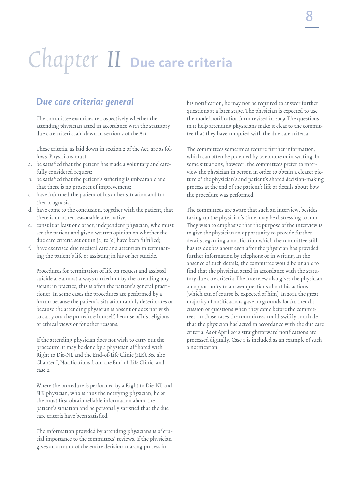# Chapter II **Due care criteria**

## *Due care criteria: general*

The committee examines retrospectively whether the attending physician acted in accordance with the statutory due care criteria laid down in section 2 of the Act.

These criteria, as laid down in section 2 of the Act, are as follows. Physicians must:

- a. be satisfied that the patient has made a voluntary and carefully considered request;
- b. be satisfied that the patient's suffering is unbearable and that there is no prospect of improvement;
- c. have informed the patient of his or her situation and further prognosis;
- d. have come to the conclusion, together with the patient, that there is no other reasonable alternative;
- e. consult at least one other, independent physician, who must see the patient and give a written opinion on whether the due care criteria set out in (a) to (d) have been fulfilled;
- f. have exercised due medical care and attention in terminating the patient's life or assisting in his or her suicide.

Procedures for termination of life on request and assisted suicide are almost always carried out by the attending physician; in practice, this is often the patient's general practitioner. In some cases the procedures are performed by a locum because the patient's situation rapidly deteriorates or because the attending physician is absent or does not wish to carry out the procedure himself, because of his religious or ethical views or for other reasons.

If the attending physician does not wish to carry out the procedure, it may be done by a physician affiliated with Right to Die-NL and the End-of-Life Clinic (SLK). See also Chapter I, Notifications from the End-of-Life Clinic, and case 2.

Where the procedure is performed by a Right to Die-NL and SLK physician, who is thus the notifying physician, he or she must first obtain reliable information about the patient's situation and be personally satisfied that the due care criteria have been satisfied.

The information provided by attending physicians is of crucial importance to the committees' reviews. If the physician gives an account of the entire decision-making process in

his notification, he may not be required to answer further questions at a later stage. The physician is expected to use the model notification form revised in 2009. The questions in it help attending physicians make it clear to the committee that they have complied with the due care criteria.

The committees sometimes require further information, which can often be provided by telephone or in writing. In some situations, however, the committees prefer to interview the physician in person in order to obtain a clearer picture of the physician's and patient's shared decision-making process at the end of the patient's life or details about how the procedure was performed.

The committees are aware that such an interview, besides taking up the physician's time, may be distressing to him. They wish to emphasise that the purpose of the interview is to give the physician an opportunity to provide further details regarding a notification which the committee still has its doubts about even after the physician has provided further information by telephone or in writing. In the absence of such details, the committee would be unable to find that the physician acted in accordance with the statutory due care criteria. The interview also gives the physician an opportunity to answer questions about his actions (which can of course be expected of him). In 2012 the great majority of notifications gave no grounds for further discussion or questions when they came before the committees. In those cases the committees could swiftly conclude that the physician had acted in accordance with the due care criteria. As of April 2012 straightforward notifications are processed digitally. Case 1 is included as an example of such a notification.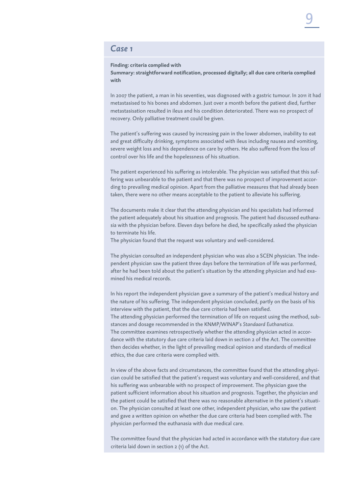### *Case 1*

#### **Finding: criteria complied with**

**Summary: straightforward notification, processed digitally; all due care criteria complied with**

In 2007 the patient, a man in his seventies, was diagnosed with a gastric tumour. In 2011 it had metastasised to his bones and abdomen. Just over a month before the patient died, further metastasisation resulted in ileus and his condition deteriorated. There was no prospect of recovery. Only palliative treatment could be given.

The patient's suffering was caused by increasing pain in the lower abdomen, inability to eat and great difficulty drinking, symptoms associated with ileus including nausea and vomiting, severe weight loss and his dependence on care by others. He also suffered from the loss of control over his life and the hopelessness of his situation.

The patient experienced his suffering as intolerable. The physician was satisfied that this suffering was unbearable to the patient and that there was no prospect of improvement according to prevailing medical opinion. Apart from the palliative measures that had already been taken, there were no other means acceptable to the patient to alleviate his suffering.

The documents make it clear that the attending physician and his specialists had informed the patient adequately about his situation and prognosis. The patient had discussed euthanasia with the physician before. Eleven days before he died, he specifically asked the physician to terminate his life.

The physician found that the request was voluntary and well-considered.

The physician consulted an independent physician who was also a SCEN physician. The independent physician saw the patient three days before the termination of life was performed, after he had been told about the patient's situation by the attending physician and had examined his medical records.

In his report the independent physician gave a summary of the patient's medical history and the nature of his suffering. The independent physician concluded, partly on the basis of his interview with the patient, that the due care criteria had been satisfied. The attending physician performed the termination of life on request using the method, substances and dosage recommended in the KNMP/WINAP's *Standaard Euthanatica.* The committee examines retrospectively whether the attending physician acted in accordance with the statutory due care criteria laid down in section 2 of the Act. The committee then decides whether, in the light of prevailing medical opinion and standards of medical ethics, the due care criteria were complied with.

In view of the above facts and circumstances, the committee found that the attending physician could be satisfied that the patient's request was voluntary and well-considered, and that his suffering was unbearable with no prospect of improvement. The physician gave the patient sufficient information about his situation and prognosis. Together, the physician and the patient could be satisfied that there was no reasonable alternative in the patient's situation. The physician consulted at least one other, independent physician, who saw the patient and gave a written opinion on whether the due care criteria had been complied with. The physician performed the euthanasia with due medical care.

The committee found that the physician had acted in accordance with the statutory due care criteria laid down in section 2 (1) of the Act.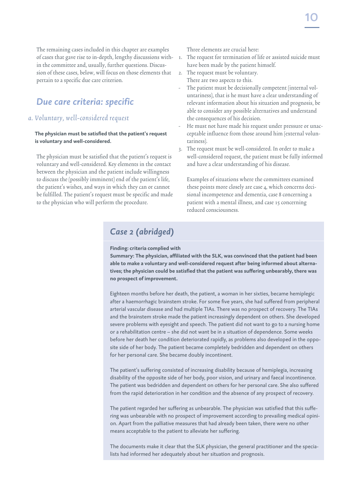The remaining cases included in this chapter are examples of cases that gave rise to in-depth, lengthy discussions within the committee and, usually, further questions. Discussion of these cases, below, will focus on those elements that pertain to a specific due care criterion.

## *Due care criteria: specific*

### a. Voluntary, well-considered request

### **The physician must be satisfied that the patient's request is voluntary and well-considered.**

The physician must be satisfied that the patient's request is voluntary and well-considered. Key elements in the contact between the physician and the patient include willingness to discuss the (possibly imminent) end of the patient's life, the patient's wishes, and ways in which they can or cannot be fulfilled. The patient's request must be specific and made to the physician who will perform the procedure.

Three elements are crucial here:

- 1. The request for termination of life or assisted suicide must have been made by the patient himself.
- 2. The request must be voluntary. There are two aspects to this.
- The patient must be decisionally competent (internal voluntariness), that is he must have a clear understanding of relevant information about his situation and prognosis, be able to consider any possible alternatives and understand the consequences of his decision.
- He must not have made his request under pressure or unacceptable influence from those around him (external voluntariness).
- 3. The request must be well-considered. In order to make a well-considered request, the patient must be fully informed and have a clear understanding of his disease.

Examples of situations where the committees examined these points more closely are case 4, which concerns decisional incompetence and dementia, case 8 concerning a patient with a mental illness, and case 15 concerning reduced consciousness.

## *Case 2 (abridged)*

### **Finding: criteria complied with**

**Summary: The physician, affiliated with the SLK, was convinced that the patient had been able to make a voluntary and well-considered request after being informed about alternatives; the physician could be satisfied that the patient was suffering unbearably, there was no prospect of improvement.** 

Eighteen months before her death, the patient, a woman in her sixties, became hemiplegic after a haemorrhagic brainstem stroke. For some five years, she had suffered from peripheral arterial vascular disease and had multiple TIAs. There was no prospect of recovery. The TIAs and the brainstem stroke made the patient increasingly dependent on others. She developed severe problems with eyesight and speech. The patient did not want to go to a nursing home or a rehabilitation centre – she did not want be in a situation of dependence. Some weeks before her death her condition deteriorated rapidly, as problems also developed in the opposite side of her body. The patient became completely bedridden and dependent on others for her personal care. She became doubly incontinent.

The patient's suffering consisted of increasing disability because of hemiplegia, increasing disability of the opposite side of her body, poor vision, and urinary and faecal incontinence. The patient was bedridden and dependent on others for her personal care. She also suffered from the rapid deterioration in her condition and the absence of any prospect of recovery.

The patient regarded her suffering as unbearable. The physician was satisfied that this suffering was unbearable with no prospect of improvement according to prevailing medical opinion. Apart from the palliative measures that had already been taken, there were no other means acceptable to the patient to alleviate her suffering.

The documents make it clear that the SLK physician, the general practitioner and the specialists had informed her adequately about her situation and prognosis.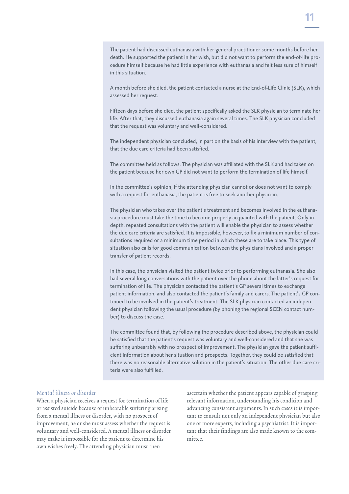The patient had discussed euthanasia with her general practitioner some months before her death. He supported the patient in her wish, but did not want to perform the end-of-life procedure himself because he had little experience with euthanasia and felt less sure of himself in this situation.

A month before she died, the patient contacted a nurse at the End-of-Life Clinic (SLK), which assessed her request.

Fifteen days before she died, the patient specifically asked the SLK physician to terminate her life. After that, they discussed euthanasia again several times. The SLK physician concluded that the request was voluntary and well-considered.

The independent physician concluded, in part on the basis of his interview with the patient, that the due care criteria had been satisfied.

The committee held as follows. The physician was affiliated with the SLK and had taken on the patient because her own GP did not want to perform the termination of life himself.

In the committee's opinion, if the attending physician cannot or does not want to comply with a request for euthanasia, the patient is free to seek another physician.

The physician who takes over the patient's treatment and becomes involved in the euthanasia procedure must take the time to become properly acquainted with the patient. Only indepth, repeated consultations with the patient will enable the physician to assess whether the due care criteria are satisfied. It is impossible, however, to fix a minimum number of consultations required or a minimum time period in which these are to take place. This type of situation also calls for good communication between the physicians involved and a proper transfer of patient records.

In this case, the physician visited the patient twice prior to performing euthanasia. She also had several long conversations with the patient over the phone about the latter's request for termination of life. The physician contacted the patient's GP several times to exchange patient information, and also contacted the patient's family and carers. The patient's GP continued to be involved in the patient's treatment. The SLK physician contacted an independent physician following the usual procedure (by phoning the regional SCEN contact number) to discuss the case.

The committee found that, by following the procedure described above, the physician could be satisfied that the patient's request was voluntary and well-considered and that she was suffering unbearably with no prospect of improvement. The physician gave the patient sufficient information about her situation and prospects. Together, they could be satisfied that there was no reasonable alternative solution in the patient's situation. The other due care criteria were also fulfilled.

### Mental illness or disorder

When a physician receives a request for termination of life or assisted suicide because of unbearable suffering arising from a mental illness or disorder, with no prospect of improvement, he or she must assess whether the request is voluntary and well-considered. A mental illness or disorder may make it impossible for the patient to determine his own wishes freely. The attending physician must then

ascertain whether the patient appears capable of grasping relevant information, understanding his condition and advancing consistent arguments. In such cases it is important to consult not only an independent physician but also one or more experts, including a psychiatrist. It is important that their findings are also made known to the committee.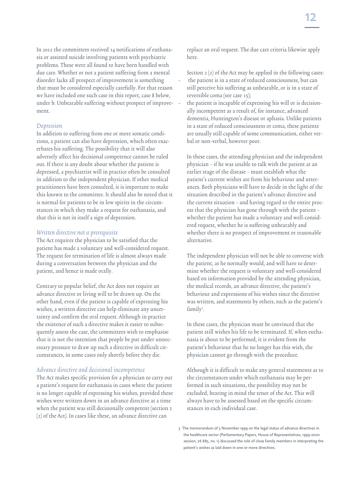In 2012 the committees received 14 notifications of euthanasia or assisted suicide involving patients with psychiatric problems. These were all found to have been handled with due care. Whether or not a patient suffering from a mental disorder lacks all prospect of improvement is something that must be considered especially carefully. For that reason we have included one such case in this report, case 8 below, under b. Unbearable suffering without prospect of improvement.

### Depression

In addition to suffering from one or more somatic conditions, a patient can also have depression, which often exacerbates his suffering. The possibility that it will also adversely affect his decisional competence cannot be ruled out. If there is any doubt about whether the patient is depressed, a psychiatrist will in practice often be consulted in addition to the independent physician. If other medical practitioners have been consulted, it is important to make this known to the committee. It should also be noted that it is normal for patients to be in low spirits in the circumstances in which they make a request for euthanasia, and that this is not in itself a sign of depression.

### Written directive not a prerequisite

The Act requires the physician to be satisfied that the patient has made a voluntary and well-considered request. The request for termination of life is almost always made during a conversation between the physician and the patient, and hence is made orally.

Contrary to popular belief, the Act does not require an advance directive or living will to be drawn up. On the other hand, even if the patient is capable of expressing his wishes, a written directive can help eliminate any uncertainty and confirm the oral request. Although in practice the existence of such a directive makes it easier to subsequently assess the case, the committees wish to emphasise that it is not the intention that people be put under unnecessary pressure to draw up such a directive in difficult circumstances, in some cases only shortly before they die.

### Advance directive and decisional incompetence

The Act makes specific provision for a physician to carry out a patient's request for euthanasia in cases where the patient is no longer capable of expressing his wishes, provided these wishes were written down in an advance directive at a time when the patient was still decisionally competent (section 2 (2) of the Act). In cases like these, an advance directive can

replace an oral request. The due care criteria likewise apply here.

- Section 2 (2) of the Act may be applied in the following cases: the patient is in a state of reduced consciousness, but can still perceive his suffering as unbearable, or is in a state of reversible coma (see case 15);
- the patient is incapable of expressing his will or is decisionally incompetent as a result of, for instance, advanced dementia, Huntington's disease or aphasia. Unlike patients in a state of reduced consciousness or coma, these patients are usually still capable of some communication, either verbal or non-verbal, however poor.

In these cases, the attending physician and the independent physician – if he was unable to talk with the patient at an earlier stage of the disease – must establish what the patient's current wishes are from his behaviour and utterances. Both physicians will have to decide in the light of the situation described in the patient's advance directive and the current situation – and having regard to the entire process that the physician has gone through with the patient – whether the patient has made a voluntary and well-considered request, whether he is suffering unbearably and whether there is no prospect of improvement or reasonable alternative.

The independent physician will not be able to converse with the patient, as he normally would, and will have to determine whether the request is voluntary and well-considered based on information provided by the attending physician, the medical records, an advance directive, the patient's behaviour and expressions of his wishes since the directive was written, and statements by others, such as the patient's family<sup>3</sup>.

In these cases, the physician must be convinced that the patient still wishes his life to be terminated. If, when euthanasia is about to be performed, it is evident from the patient's behaviour that he no longer has this wish, the physician cannot go through with the procedure.

Although it is difficult to make any general statements as to the circumstances under which euthanasia may be performed in such situations, the possibility may not be excluded, bearing in mind the tenor of the Act. This will always have to be assessed based on the specific circumstances in each individual case.

<sup>3</sup> The memorandum of 5 November 1999 on the legal status of advance directives in the healthcare sector (Parliamentary Papers, House of Representatives, 1999-2000 session, 26 885, no. 1) discussed the role of close family members in interpreting the patient's wishes as laid down in one or more directives.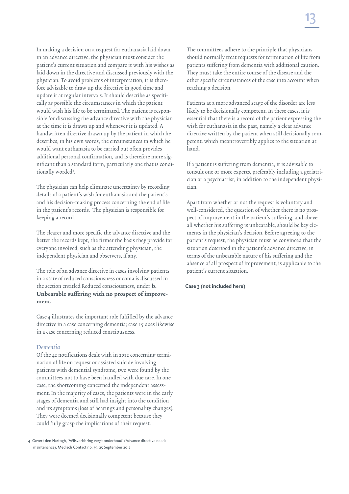In making a decision on a request for euthanasia laid down in an advance directive, the physician must consider the patient's current situation and compare it with his wishes as laid down in the directive and discussed previously with the physician. To avoid problems of interpretation, it is therefore advisable to draw up the directive in good time and update it at regular intervals. It should describe as specifically as possible the circumstances in which the patient would wish his life to be terminated. The patient is responsible for discussing the advance directive with the physician at the time it is drawn up and whenever it is updated. A handwritten directive drawn up by the patient in which he describes, in his own words, the circumstances in which he would want euthanasia to be carried out often provides additional personal confirmation, and is therefore more significant than a standard form, particularly one that is conditionally worded<sup>4</sup>.

The physician can help eliminate uncertainty by recording details of a patient's wish for euthanasia and the patient's and his decision-making process concerning the end of life in the patient's records. The physician is responsible for keeping a record.

The clearer and more specific the advance directive and the better the records kept, the firmer the basis they provide for everyone involved, such as the attending physician, the independent physician and observers, if any.

The role of an advance directive in cases involving patients in a state of reduced consciousness or coma is discussed in the section entitled Reduced consciousness, under b. Unbearable suffering with no prospect of improvement.

Case 4 illustrates the important role fulfilled by the advance directive in a case concerning dementia; case 15 does likewise in a case concerning reduced consciousness.

### Dementia

Of the 42 notifications dealt with in 2012 concerning termination of life on request or assisted suicide involving patients with demential syndrome, two were found by the committees not to have been handled with due care. In one case, the shortcoming concerned the independent assessment. In the majority of cases, the patients were in the early stages of dementia and still had insight into the condition and its symptoms (loss of bearings and personality changes). They were deemed decisionally competent because they could fully grasp the implications of their request.

4 Govert den Hartogh, 'Wilsverklaring vergt onderhoud' (Advance directive needs maintenance), Medisch Contact no. 39, 25 September 2012

The committees adhere to the principle that physicians should normally treat requests for termination of life from patients suffering from dementia with additional caution. They must take the entire course of the disease and the other specific circumstances of the case into account when reaching a decision.

Patients at a more advanced stage of the disorder are less likely to be decisionally competent. In these cases, it is essential that there is a record of the patient expressing the wish for euthanasia in the past, namely a clear advance directive written by the patient when still decisionally competent, which incontrovertibly applies to the situation at hand.

If a patient is suffering from dementia, it is advisable to consult one or more experts, preferably including a geriatrician or a psychiatrist, in addition to the independent physician.

Apart from whether or not the request is voluntary and well-considered, the question of whether there is no prospect of improvement in the patient's suffering, and above all whether his suffering is unbearable, should be key elements in the physician's decision. Before agreeing to the patient's request, the physician must be convinced that the situation described in the patient's advance directive, in terms of the unbearable nature of his suffering and the absence of all prospect of improvement, is applicable to the patient's current situation.

**Case 3 (not included here)**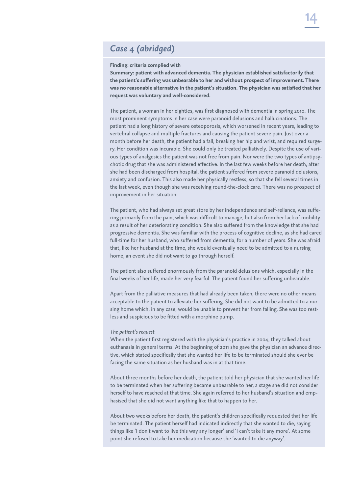## *Case 4 (abridged)*

#### **Finding: criteria complied with**

**Summary: patient with advanced dementia. The physician established satisfactorily that the patient's suffering was unbearable to her and without prospect of improvement. There was no reasonable alternative in the patient's situation. The physician was satisfied that her request was voluntary and well-considered.**

The patient, a woman in her eighties, was first diagnosed with dementia in spring 2010. The most prominent symptoms in her case were paranoid delusions and hallucinations. The patient had a long history of severe osteoporosis, which worsened in recent years, leading to vertebral collapse and multiple fractures and causing the patient severe pain. Just over a month before her death, the patient had a fall, breaking her hip and wrist, and required surgery. Her condition was incurable. She could only be treated palliatively. Despite the use of various types of analgesics the patient was not free from pain. Nor were the two types of antipsychotic drug that she was administered effective. In the last few weeks before her death, after she had been discharged from hospital, the patient suffered from severe paranoid delusions, anxiety and confusion. This also made her physically restless, so that she fell several times in the last week, even though she was receiving round-the-clock care. There was no prospect of improvement in her situation.

The patient, who had always set great store by her independence and self-reliance, was suffering primarily from the pain, which was difficult to manage, but also from her lack of mobility as a result of her deteriorating condition. She also suffered from the knowledge that she had progressive dementia. She was familiar with the process of cognitive decline, as she had cared full-time for her husband, who suffered from dementia, for a number of years. She was afraid that, like her husband at the time, she would eventually need to be admitted to a nursing home, an event she did not want to go through herself.

The patient also suffered enormously from the paranoid delusions which, especially in the final weeks of her life, made her very fearful. The patient found her suffering unbearable.

Apart from the palliative measures that had already been taken, there were no other means acceptable to the patient to alleviate her suffering. She did not want to be admitted to a nursing home which, in any case, would be unable to prevent her from falling. She was too restless and suspicious to be fitted with a morphine pump.

#### *The patient's request*

When the patient first registered with the physician's practice in 2004, they talked about euthanasia in general terms. At the beginning of 2011 she gave the physician an advance directive, which stated specifically that she wanted her life to be terminated should she ever be facing the same situation as her husband was in at that time.

About three months before her death, the patient told her physician that she wanted her life to be terminated when her suffering became unbearable to her, a stage she did not consider herself to have reached at that time. She again referred to her husband's situation and emphasised that she did not want anything like that to happen to her.

About two weeks before her death, the patient's children specifically requested that her life be terminated. The patient herself had indicated indirectly that she wanted to die, saying things like 'I don't want to live this way any longer' and 'I can't take it any more'. At some point she refused to take her medication because she 'wanted to die anyway'.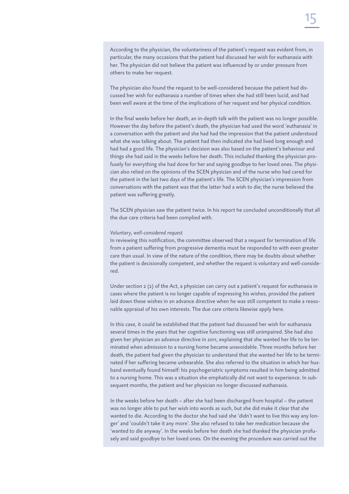According to the physician, the voluntariness of the patient's request was evident from, in particular, the many occasions that the patient had discussed her wish for euthanasia with her. The physician did not believe the patient was influenced by or under pressure from others to make her request.

The physician also found the request to be well-considered because the patient had discussed her wish for euthanasia a number of times when she had still been lucid, and had been well aware at the time of the implications of her request and her physical condition.

In the final weeks before her death, an in-depth talk with the patient was no longer possible. However the day before the patient's death, the physician had used the word 'euthanasia' in a conversation with the patient and she had had the impression that the patient understood what she was talking about. The patient had then indicated she had lived long enough and had had a good life. The physician's decision was also based on the patient's behaviour and things she had said in the weeks before her death. This included thanking the physician profusely for everything she had done for her and saying goodbye to her loved ones. The physician also relied on the opinions of the SCEN physician and of the nurse who had cared for the patient in the last two days of the patient's life. The SCEN physician's impression from conversations with the patient was that the latter had a wish to die; the nurse believed the patient was suffering greatly.

The SCEN physician saw the patient twice. In his report he concluded unconditionally that all the due care criteria had been complied with.

#### *Voluntary, well-considered request*

In reviewing this notification, the committee observed that a request for termination of life from a patient suffering from progressive dementia must be responded to with even greater care than usual. In view of the nature of the condition, there may be doubts about whether the patient is decisionally competent, and whether the request is voluntary and well-considered.

Under section 2 (2) of the Act, a physician can carry out a patient's request for euthanasia in cases where the patient is no longer capable of expressing his wishes, provided the patient laid down these wishes in an advance directive when he was still competent to make a reasonable appraisal of his own interests. The due care criteria likewise apply here.

In this case, it could be established that the patient had discussed her wish for euthanasia several times in the years that her cognitive functioning was still unimpaired. She had also given her physician an advance directive in 2011, explaining that she wanted her life to be terminated when admission to a nursing home became unavoidable. Three months before her death, the patient had given the physician to understand that she wanted her life to be terminated if her suffering became unbearable. She also referred to the situation in which her husband eventually found himself: his psychogeriatric symptoms resulted in him being admitted to a nursing home. This was a situation she emphatically did not want to experience. In subsequent months, the patient and her physician no longer discussed euthanasia.

In the weeks before her death – after she had been discharged from hospital – the patient was no longer able to put her wish into words as such, but she did make it clear that she wanted to die. According to the doctor she had said she 'didn't want to live this way any longer' and 'couldn't take it any more'. She also refused to take her medication because she 'wanted to die anyway'. In the weeks before her death she had thanked the physician profusely and said goodbye to her loved ones. On the evening the procedure was carried out the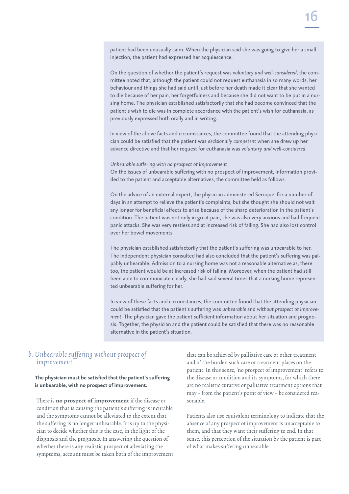patient had been unusually calm. When the physician said she was going to give her a small injection, the patient had expressed her acquiescence.

On the question of whether the patient's request was *voluntary and well-considered,* the committee noted that, although the patient could not request euthanasia in so many words, her behaviour and things she had said until just before her death made it clear that she wanted to die because of her pain, her forgetfulness and because she did not want to be put in a nursing home. The physician established satisfactorily that she had become convinced that the patient's wish to die was in complete accordance with the patient's wish for euthanasia, as previously expressed both orally and in writing.

In view of the above facts and circumstances, the committee found that the attending physician could be satisfied that the patient was *decisionally competent* when she drew up her advance directive and that her request for euthanasia was *voluntary and well-considered*.

*Unbearable suffering with no prospect of improvement* On the issues of unbearable suffering with no prospect of improvement, information provided to the patient and acceptable alternatives, the committee held as follows.

On the advice of an external expert, the physician administered Seroquel for a number of days in an attempt to relieve the patient's complaints, but she thought she should not wait any longer for beneficial effects to arise because of the sharp deterioration in the patient's condition. The patient was not only in great pain, she was also very anxious and had frequent panic attacks. She was very restless and at increased risk of falling. She had also lost control over her bowel movements.

The physician established satisfactorily that the patient's suffering was unbearable to her. The independent physician consulted had also concluded that the patient's suffering was palpably unbearable. Admission to a nursing home was not a reasonable alternative as, there too, the patient would be at increased risk of falling. Moreover, when the patient had still been able to communicate clearly, she had said several times that a nursing home represented unbearable suffering for her.

In view of these facts and circumstances, the committee found that the attending physician could be satisfied that the patient's suffering was *unbearable* and *without prospect of improvement*. The physician gave the patient sufficient information about her situation and prognosis. Together, the physician and the patient could be satisfied that there was no reasonable alternative in the patient's situation.

### b. Unbearable suffering without prospect of improvement

**The physician must be satisfied that the patient's suffering is unbearable, with no prospect of improvement.**

There is no prospect of improvement if the disease or condition that is causing the patient's suffering is incurable and the symptoms cannot be alleviated to the extent that the suffering is no longer unbearable. It is up to the physician to decide whether this is the case, in the light of the diagnosis and the prognosis. In answering the question of whether there is any realistic prospect of alleviating the symptoms, account must be taken both of the improvement

that can be achieved by palliative care or other treatment and of the burden such care or treatment places on the patient. In this sense, 'no prospect of improvement' refers to the disease or condition and its symptoms, for which there are no realistic curative or palliative treatment options that may – from the patient's point of view – be considered reasonable.

Patients also use equivalent terminology to indicate that the absence of any prospect of improvement is unacceptable to them, and that they want their suffering to end. In that sense, this perception of the situation by the patient is part of what makes suffering unbearable.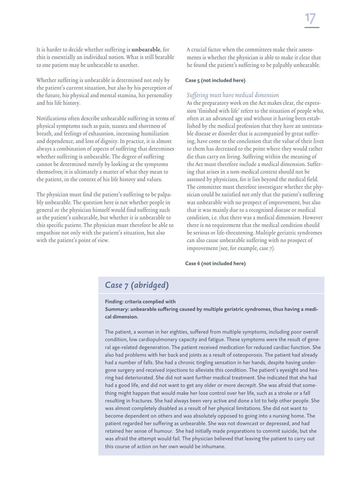It is harder to decide whether suffering is unbearable, for this is essentially an individual notion. What is still bearable to one patient may be unbearable to another.

Whether suffering is unbearable is determined not only by the patient's current situation, but also by his perception of the future, his physical and mental stamina, his personality and his life history.

Notifications often describe unbearable suffering in terms of physical symptoms such as pain, nausea and shortness of breath, and feelings of exhaustion, increasing humiliation and dependence, and loss of dignity. In practice, it is almost always a combination of aspects of suffering that determines whether suffering is unbearable. The degree of suffering cannot be determined merely by looking at the symptoms themselves; it is ultimately a matter of what they mean to the patient, in the context of his life history and values.

The physician must find the patient's suffering to be palpably unbearable. The question here is not whether people in general or the physician himself would find suffering such as the patient's unbearable, but whether it is unbearable to this specific patient. The physician must therefore be able to empathise not only with the patient's situation, but also with the patient's point of view.

A crucial factor when the committees make their assessments is whether the physician is able to make it clear that he found the patient's suffering to be palpably unbearable.

### **Case 5 (not included here)**

### Suffering must have medical dimension

As the preparatory work on the Act makes clear, the expression 'finished with life' refers to the situation of people who, often at an advanced age and without it having been established by the medical profession that they have an untreatable disease or disorder that is accompanied by great suffering, have come to the conclusion that the value of their lives to them has decreased to the point where they would rather die than carry on living. Suffering within the meaning of the Act must therefore include a medical dimension. Suffering that arises in a non-medical context should not be assessed by physicians, for it lies beyond the medical field. The committee must therefore investigate whether the physician could be satisfied not only that the patient's suffering was unbearable with no prospect of improvement, but also that it was mainly due to a recognised disease or medical condition, i.e. that there was a medical dimension. However there is no requirement that the medical condition should be serious or life-threatening. Multiple geriatric syndromes can also cause unbearable suffering with no prospect of improvement (see, for example, case 7).

### **Case 6 (not included here)**

### *Case 7 (abridged)*

### **Finding: criteria complied with**

**Summary: unbearable suffering caused by multiple geriatric syndromes, thus having a medical dimension.**

The patient, a woman in her eighties, suffered from multiple symptoms, including poor overall condition, low cardiopulmonary capacity and fatigue. These symptoms were the result of general age-related degeneration. The patient received medication for reduced cardiac function. She also had problems with her back and joints as a result of osteoporosis. The patient had already had a number of falls. She had a chronic tingling sensation in her hands, despite having undergone surgery and received injections to alleviate this condition. The patient's eyesight and hearing had deteriorated. She did not want further medical treatment. She indicated that she had had a good life, and did not want to get any older or more decrepit. She was afraid that something might happen that would make her lose control over her life, such as a stroke or a fall resulting in fractures. She had always been very active and done a lot to help other people. She was almost completely disabled as a result of her physical limitations. She did not want to become dependent on others and was absolutely opposed to going into a nursing home. The patient regarded her suffering as unbearable. She was not downcast or depressed, and had retained her sense of humour. She had initially made preparations to commit suicide, but she was afraid the attempt would fail. The physician believed that leaving the patient to carry out this course of action on her own would be inhumane.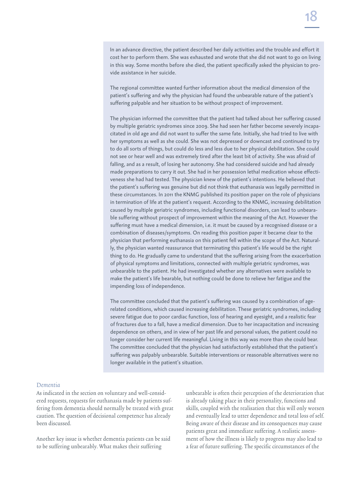In an advance directive, the patient described her daily activities and the trouble and effort it cost her to perform them. She was exhausted and wrote that she did not want to go on living in this way. Some months before she died, the patient specifically asked the physician to provide assistance in her suicide.

The regional committee wanted further information about the medical dimension of the patient's suffering and why the physician had found the unbearable nature of the patient's suffering palpable and her situation to be without prospect of improvement.

The physician informed the committee that the patient had talked about her suffering caused by multiple geriatric syndromes since 2009. She had seen her father become severely incapacitated in old age and did not want to suffer the same fate. Initially, she had tried to live with her symptoms as well as she could. She was not depressed or downcast and continued to try to do all sorts of things, but could do less and less due to her physical debilitation. She could not see or hear well and was extremely tired after the least bit of activity. She was afraid of falling, and as a result, of losing her autonomy. She had considered suicide and had already made preparations to carry it out. She had in her possession lethal medication whose effectiveness she had had tested. The physician knew of the patient's intentions. He believed that the patient's suffering was genuine but did not think that euthanasia was legally permitted in these circumstances. In 2011 the KNMG published its position paper on the role of physicians in termination of life at the patient's request. According to the KNMG, increasing debilitation caused by multiple geriatric syndromes, including functional disorders, can lead to unbearable suffering without prospect of improvement within the meaning of the Act. However the suffering must have a medical dimension, i.e. it must be caused by a recognised disease or a combination of diseases/symptoms. On reading this position paper it became clear to the physician that performing euthanasia on this patient fell within the scope of the Act. Naturally, the physician wanted reassurance that terminating this patient's life would be the right thing to do. He gradually came to understand that the suffering arising from the exacerbation of physical symptoms and limitations, connected with multiple geriatric syndromes, was unbearable to the patient. He had investigated whether any alternatives were available to make the patient's life bearable, but nothing could be done to relieve her fatigue and the impending loss of independence.

The committee concluded that the patient's suffering was caused by a combination of agerelated conditions, which caused increasing debilitation. These geriatric syndromes, including severe fatigue due to poor cardiac function, loss of hearing and eyesight, and a realistic fear of fractures due to a fall, have a medical dimension. Due to her incapacitation and increasing dependence on others, and in view of her past life and personal values, the patient could no longer consider her current life meaningful. Living in this way was more than she could bear. The committee concluded that the physician had satisfactorily established that the patient's suffering was palpably unbearable. Suitable interventions or reasonable alternatives were no longer available in the patient's situation.

### Dementia

As indicated in the section on voluntary and well-considered requests, requests for euthanasia made by patients suffering from dementia should normally be treated with great caution. The question of decisional competence has already been discussed.

Another key issue is whether dementia patients can be said to be suffering unbearably. What makes their suffering

unbearable is often their perception of the deterioration that is already taking place in their personality, functions and skills, coupled with the realisation that this will only worsen and eventually lead to utter dependence and total loss of self. Being aware of their disease and its consequences may cause patients great and immediate suffering. A realistic assessment of how the illness is likely to progress may also lead to a fear of future suffering. The specific circumstances of the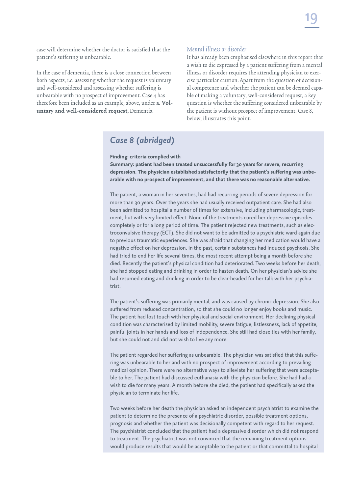case will determine whether the doctor is satisfied that the patient's suffering is unbearable.

In the case of dementia, there is a close connection between both aspects, i.e. assessing whether the request is voluntary and well-considered and assessing whether suffering is unbearable with no prospect of improvement. Case 4 has therefore been included as an example, above, under a. Voluntary and well-considered request, Dementia.

### Mental illness or disorder

It has already been emphasised elsewhere in this report that a wish to die expressed by a patient suffering from a mental illness or disorder requires the attending physician to exercise particular caution. Apart from the question of decisional competence and whether the patient can be deemed capable of making a voluntary, well-considered request, a key question is whether the suffering considered unbearable by the patient is without prospect of improvement. Case 8, below, illustrates this point.

## *Case 8 (abridged)*

**Finding: criteria complied with**

**Summary: patient had been treated unsuccessfully for 30 years for severe, recurring depression. The physician established satisfactorily that the patient's suffering was unbearable with no prospect of improvement, and that there was no reasonable alternative.**

The patient, a woman in her seventies, had had recurring periods of severe depression for more than 30 years. Over the years she had usually received outpatient care. She had also been admitted to hospital a number of times for extensive, including pharmacologic, treatment, but with very limited effect. None of the treatments cured her depressive episodes completely or for a long period of time. The patient rejected new treatments, such as electroconvulsive therapy (ECT). She did not want to be admitted to a psychiatric ward again due to previous traumatic experiences. She was afraid that changing her medication would have a negative effect on her depression. In the past, certain substances had induced psychosis. She had tried to end her life several times, the most recent attempt being a month before she died. Recently the patient's physical condition had deteriorated. Two weeks before her death, she had stopped eating and drinking in order to hasten death. On her physician's advice she had resumed eating and drinking in order to be clear-headed for her talk with her psychiatrist.

The patient's suffering was primarily mental, and was caused by chronic depression. She also suffered from reduced concentration, so that she could no longer enjoy books and music. The patient had lost touch with her physical and social environment. Her declining physical condition was characterised by limited mobility, severe fatigue, listlessness, lack of appetite, painful joints in her hands and loss of independence. She still had close ties with her family, but she could not and did not wish to live any more.

The patient regarded her suffering as unbearable. The physician was satisfied that this suffering was unbearable to her and with no prospect of improvement according to prevailing medical opinion. There were no alternative ways to alleviate her suffering that were acceptable to her. The patient had discussed euthanasia with the physician before. She had had a wish to die for many years. A month before she died, the patient had specifically asked the physician to terminate her life.

Two weeks before her death the physician asked an independent psychiatrist to examine the patient to determine the presence of a psychiatric disorder, possible treatment options, prognosis and whether the patient was decisionally competent with regard to her request. The psychiatrist concluded that the patient had a depressive disorder which did not respond to treatment. The psychiatrist was not convinced that the remaining treatment options would produce results that would be acceptable to the patient or that committal to hospital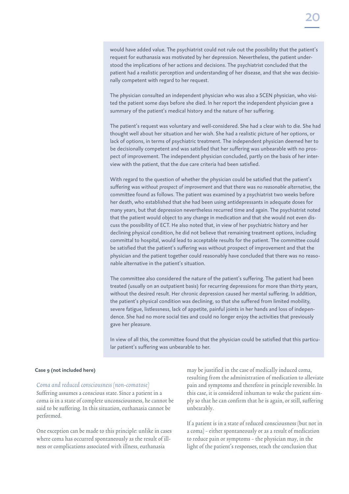The physician consulted an independent physician who was also a SCEN physician, who visited the patient some days before she died. In her report the independent physician gave a summary of the patient's medical history and the nature of her suffering.

The patient's request was voluntary and well-considered. She had a clear wish to die. She had thought well about her situation and her wish. She had a realistic picture of her options, or lack of options, in terms of psychiatric treatment. The independent physician deemed her to be decisionally competent and was satisfied that her suffering was unbearable with no prospect of improvement. The independent physician concluded, partly on the basis of her interview with the patient, that the due care criteria had been satisfied.

With regard to the question of whether the physician could be satisfied that the patient's suffering was *without prospect of improvement* and that there was *no reasonable alternative,* the committee found as follows. The patient was examined by a psychiatrist two weeks before her death, who established that she had been using antidepressants in adequate doses for many years, but that depression nevertheless recurred time and again. The psychiatrist noted that the patient would object to any change in medication and that she would not even discuss the possibility of ECT. He also noted that, in view of her psychiatric history and her declining physical condition, he did not believe that remaining treatment options, including committal to hospital, would lead to acceptable results for the patient. The committee could be satisfied that the patient's suffering was without prospect of improvement and that the physician and the patient together could reasonably have concluded that there was no reasonable alternative in the patient's situation.

The committee also considered the nature of the patient's suffering. The patient had been treated (usually on an outpatient basis) for recurring depressions for more than thirty years, without the desired result. Her chronic depression caused her mental suffering. In addition, the patient's physical condition was declining, so that she suffered from limited mobility, severe fatigue, listlessness, lack of appetite, painful joints in her hands and loss of independence. She had no more social ties and could no longer enjoy the activities that previously gave her pleasure.

In view of all this, the committee found that the physician could be satisfied that this particular patient's suffering was unbearable to her.

### **Case 9 (not included here)**

### Coma and reduced consciousness (non-comatose)

Suffering assumes a conscious state. Since a patient in a coma is in a state of complete unconsciousness, he cannot be said to be suffering. In this situation, euthanasia cannot be performed.

One exception can be made to this principle: unlike in cases where coma has occurred spontaneously as the result of illness or complications associated with illness, euthanasia

may be justified in the case of medically induced coma, resulting from the administration of medication to alleviate pain and symptoms and therefore in principle reversible. In this case, it is considered inhuman to wake the patient simply so that he can confirm that he is again, or still, suffering unbearably.

If a patient is in a state of reduced consciousness (but not in a coma) – either spontaneously or as a result of medication to reduce pain or symptoms – the physician may, in the light of the patient's responses, reach the conclusion that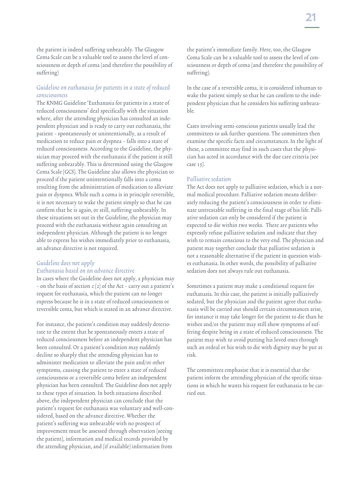the patient is indeed suffering unbearably. The Glasgow Coma Scale can be a valuable tool to assess the level of consciousness or depth of coma (and therefore the possibility of suffering)

### Guideline on euthanasia for patients in a state of reduced consciousness

The KNMG Guideline 'Euthanasia for patients in a state of reduced consciousness' deal specifically with the situation where, after the attending physician has consulted an independent physician and is ready to carry out euthanasia, the patient – spontaneously or unintentionally, as a result of medication to reduce pain or dyspnea – falls into a state of reduced consciousness. According to the Guideline, the physician may proceed with the euthanasia if the patient is still suffering unbearably. This is determined using the Glasgow Coma Scale (GCS). The Guideline also allows the physician to proceed if the patient unintentionally falls into a coma resulting from the administration of medication to alleviate pain or dyspnea. While such a coma is in principle reversible, it is not necessary to wake the patient simply so that he can confirm that he is again, or still, suffering unbearably. In these situations set out in the Guideline, the physician may proceed with the euthanasia without again consulting an independent physician. Although the patient is no longer able to express his wishes immediately prior to euthanasia, an advance directive is not required.

### Guideline does not apply

### Euthanasia based on an advance directive

In cases where the Guideline does not apply, a physician may – on the basis of section 2 (2) of the Act – carry out a patient's request for euthanasia, which the patient can no longer express because he is in a state of reduced consciousness or reversible coma, but which is stated in an advance directive.

For instance, the patient's condition may suddenly deteriorate to the extent that he spontaneously enters a state of reduced consciousness before an independent physician has been consulted. Or a patient's condition may suddenly decline so sharply that the attending physician has to administer medication to alleviate the pain and/or other symptoms, causing the patient to enter a state of reduced consciousness or a reversible coma before an independent physician has been consulted. The Guideline does not apply to these types of situation. In both situations described above, the independent physician can conclude that the patient's request for euthanasia was voluntary and well-considered, based on the advance directive. Whether the patient's suffering was unbearable with no prospect of improvement must be assessed through observation (seeing the patient), information and medical records provided by the attending physician, and (if available) information from

the patient's immediate family. Here, too, the Glasgow Coma Scale can be a valuable tool to assess the level of consciousness or depth of coma (and therefore the possibility of suffering).

In the case of a reversible coma, it is considered inhuman to wake the patient simply so that he can confirm to the independent physician that he considers his suffering unbearable.

Cases involving semi-conscious patients usually lead the committees to ask further questions. The committees then examine the specific facts and circumstances. In the light of these, a committee may find in such cases that the physician has acted in accordance with the due care criteria (see case 15).

### Palliative sedation

The Act does not apply to palliative sedation, which is a normal medical procedure. Palliative sedation means deliberately reducing the patient's consciousness in order to eliminate untreatable suffering in the final stage of his life. Palliative sedation can only be considered if the patient is expected to die within two weeks. There are patients who expressly refuse palliative sedation and indicate that they wish to remain conscious to the very end. The physician and patient may together conclude that palliative sedation is not a reasonable alternative if the patient in question wishes euthanasia. In other words, the possibility of palliative sedation does not always rule out euthanasia.

Sometimes a patient may make a conditional request for euthanasia. In this case, the patient is initially palliatively sedated, but the physician and the patient agree that euthanasia will be carried out should certain circumstances arise, for instance it may take longer for the patient to die than he wishes and/or the patient may still show symptoms of suffering despite being in a state of reduced consciousness. The patient may wish to avoid putting his loved ones through such an ordeal or his wish to die with dignity may be put at risk.

The committees emphasise that it is essential that the patient inform the attending physician of the specific situations in which he wants his request for euthanasia to be carried out.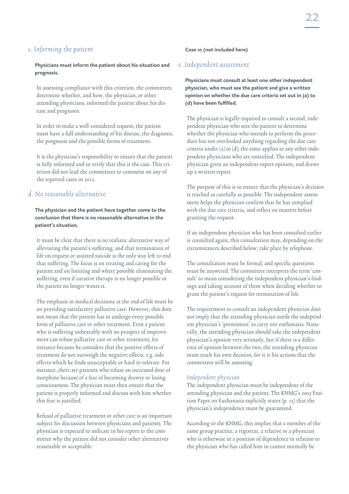### c. Informing the patient

### **Physicians must inform the patient about his situation and prognosis.**

In assessing compliance with this criterion, the committees determine whether, and how, the physician, or other attending physicians, informed the patient about his disease and prognosis.

In order to make a well-considered request, the patient must have a full understanding of his disease, the diagnosis, the prognosis and the possible forms of treatment.

It is the physician's responsibility to ensure that the patient is fully informed and to verify that this is the case. This criterion did not lead the committees to comment on any of the reported cases in 2012.

### d. No reasonable alternative

### **The physician and the patient have together come to the conclusion that there is no reasonable alternative in the patient's situation.**

It must be clear that there is no realistic alternative way of alleviating the patient's suffering, and that termination of life on request or assisted suicide is the only way left to end that suffering. The focus is on treating and caring for the patient and on limiting and where possible eliminating the suffering, even if curative therapy is no longer possible or the patient no longer wants it.

The emphasis in medical decisions at the end of life must be on providing satisfactory palliative care. However, this does not mean that the patient has to undergo every possible form of palliative care or other treatment. Even a patient who is suffering unbearably with no prospect of improvement can refuse palliative care or other treatment, for instance because he considers that the positive effects of treatment do not outweigh the negative effects, e.g. side effects which he finds unacceptable or hard to tolerate. For instance, there are patients who refuse an increased dose of morphine because of a fear of becoming drowsy or losing consciousness. The physician must then ensure that the patient is properly informed and discuss with him whether this fear is justified.

Refusal of palliative treatment or other care is an important subject for discussion between physicians and patients. The physician is expected to indicate in his report to the committee why the patient did not consider other alternatives reasonable or acceptable.

### **Case 10 (not included here)**

### e. Independent assessment

**Physicians must consult at least one other independent physician, who must see the patient and give a written opinion on whether the due care criteria set out in (a) to (d) have been fulfilled.**

The physician is legally required to consult a second, independent physician who sees the patient to determine whether the physician who intends to perform the procedure has not overlooked anything regarding the due care criteria under (a) to (d); the same applies to any other independent physicians who are consulted. The independent physician gives an independent expert opinion, and draws up a written report.

The purpose of this is to ensure that the physician's decision is reached as carefully as possible. The independent assessment helps the physician confirm that he has complied with the due care criteria, and reflect on matters before granting the request.

If an independent physician who has been consulted earlier is consulted again, this consultation may, depending on the circumstances described below, take place by telephone.

The consultation must be formal, and specific questions must be answered. The committee interprets the term 'consult' to mean considering the independent physician's findings and taking account of them when deciding whether to grant the patient's request for termination of life.

The requirement to consult an independent physician does not imply that the attending physician needs the independent physician's 'permission' to carry out euthanasia. Naturally, the attending physician should take the independent physician's opinion very seriously, but if there is a difference of opinion between the two, the attending physician must reach his own decision, for it is his actions that the committees will be assessing.

### Independent physician

The independent physician must be independent of the attending physician and the patient. The KNMG's 2003 Position Paper on Euthanasia explicitly states (p. 15) that the physician's independence must be guaranteed.

According to the KNMG, this implies that a member of the same group practice, a registrar, a relative or a physician who is otherwise in a position of dependence in relation to the physician who has called him in cannot normally be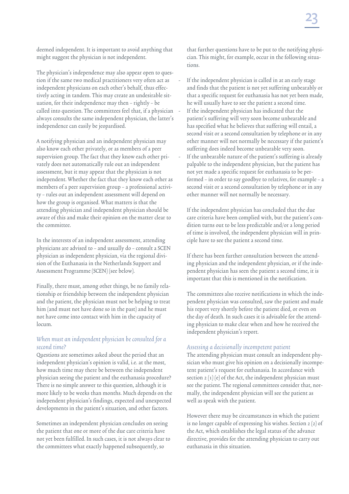deemed independent. It is important to avoid anything that might suggest the physician is not independent.

The physician's independence may also appear open to question if the same two medical practitioners very often act as independent physicians on each other's behalf, thus effectively acting in tandem. This may create an undesirable situation, for their independence may then – rightly – be called into question. The committees feel that, if a physician always consults the same independent physician, the latter's independence can easily be jeopardised.

A notifying physician and an independent physician may also know each other privately, or as members of a peer supervision group. The fact that they know each other privately does not automatically rule out an independent assessment, but it may appear that the physician is not independent. Whether the fact that they know each other as members of a peer supervision group – a professional activity – rules out an independent assessment will depend on how the group is organised. What matters is that the attending physician and independent physician should be aware of this and make their opinion on the matter clear to the committee.

In the interests of an independent assessment, attending physicians are advised to – and usually do – consult a SCEN physician as independent physician, via the regional division of the Euthanasia in the Netherlands Support and Assessment Programme (SCEN) (see below).

Finally, there must, among other things, be no family relationship or friendship between the independent physician and the patient, the physician must not be helping to treat him (and must not have done so in the past) and he must not have come into contact with him in the capacity of locum.

### When must an independent physician be consulted for a second time?

Questions are sometimes asked about the period that an independent physician's opinion is valid, i.e. at the most, how much time may there be between the independent physician seeing the patient and the euthanasia procedure? There is no simple answer to this question, although it is more likely to be weeks than months. Much depends on the independent physician's findings, expected and unexpected developments in the patient's situation, and other factors.

Sometimes an independent physician concludes on seeing the patient that one or more of the due care criteria have not yet been fulfilled. In such cases, it is not always clear to the committees what exactly happened subsequently, so

that further questions have to be put to the notifying physician. This might, for example, occur in the following situations.

- If the independent physician is called in at an early stage and finds that the patient is not yet suffering unbearably or that a specific request for euthanasia has not yet been made, he will usually have to see the patient a second time.
- If the independent physician has indicated that the patient's suffering will very soon become unbearable and has specified what he believes that suffering will entail, a second visit or a second consultation by telephone or in any other manner will not normally be necessary if the patient's suffering does indeed become unbearable very soon. If the unbearable nature of the patient's suffering is already palpable to the independent physician, but the patient has not yet made a specific request for euthanasia to be performed – in order to say goodbye to relatives, for example – a second visit or a second consultation by telephone or in any

If the independent physician has concluded that the due care criteria have been complied with, but the patient's condition turns out to be less predictable and/or a long period of time is involved, the independent physician will in principle have to see the patient a second time.

other manner will not normally be necessary.

If there has been further consultation between the attending physician and the independent physician, or if the independent physician has seen the patient a second time, it is important that this is mentioned in the notification.

The committees also receive notifications in which the independent physician was consulted, saw the patient and made his report very shortly before the patient died, or even on the day of death. In such cases it is advisable for the attending physician to make clear when and how he received the independent physician's report.

### Assessing a decisionally incompetent patient

The attending physician must consult an independent physician who must give his opinion on a decisionally incompetent patient's request for euthanasia. In accordance with section 2 (1) (e) of the Act, the independent physician must see the patient. The regional committees consider that, normally, the independent physician will see the patient as well as speak with the patient.

However there may be circumstances in which the patient is no longer capable of expressing his wishes. Section 2 (2) of the Act, which establishes the legal status of the advance directive, provides for the attending physician to carry out euthanasia in this situation.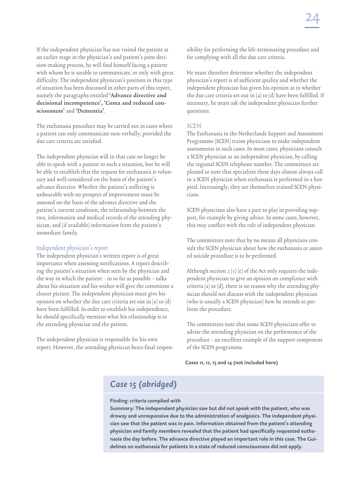If the independent physician has not visited the patient at an earlier stage in the physician's and patient's joint decision-making process, he will find himself facing a patient with whom he is unable to communicate, or only with great difficulty. The independent physician's position in this type of situation has been discussed in other parts of this report, namely the paragraphs entitled 'Advance directive and decisional incompetence', 'Coma and reduced consciousness' and 'Dementia'.

The euthanasia procedure may be carried out in cases where a patient can only communicate non-verbally, provided the due care criteria are satisfied.

The independent physician will in that case no longer be able to speak with a patient in such a situation, but he will be able to establish that the request for euthanasia is voluntary and well-considered on the basis of the patient's advance directive. Whether the patient's suffering is unbearable with no prospect of improvement must be assessed on the basis of the advance directive and the patient's current condition, the relationship between the two, information and medical records of the attending physician, and (if available) information from the patient's immediate family.

### Independent physician's report

The independent physician's written report is of great importance when assessing notifications. A report describing the patient's situation when seen by the physician and the way in which the patient – in so far as possible – talks about his situation and his wishes will give the committee a clearer picture. The independent physician must give his opinion on whether the due care criteria set out in (a) to (d) have been fulfilled. In order to establish his independence, he should specifically mention what his relationship is to the attending physician and the patient.

The independent physician is responsible for his own report. However, the attending physician bears final responsibility for performing the life-terminating procedure and for complying with all the due care criteria.

He must therefore determine whether the independent physician's report is of sufficient quality and whether the independent physician has given his opinion as to whether the due care criteria set out in (a) to (d) have been fulfilled. If necessary, he must ask the independent physician further questions.

### **SCEN**

The Euthanasia in the Netherlands Support and Assessment Programme (SCEN) trains physicians to make independent assessments in such cases. In most cases, physicians consult a SCEN physician as an independent physician, by calling the regional SCEN telephone number. The committees are pleased to note that specialists these days almost always call in a SCEN physician when euthanasia is performed in a hospital. Increasingly, they are themselves trained SCEN physicians.

SCEN physicians also have a part to play in providing support, for example by giving advice. In some cases, however, this may conflict with the role of independent physician.

The committees note that by no means all physicians consult the SCEN physician about how the euthanasia or assisted suicide procedure is to be performed.

Although section 2 (1) (e) of the Act only requires the independent physician to give an opinion on compliance with criteria (a) to (d), there is no reason why the attending physician should not discuss with the independent physician (who is usually a SCEN physician) how he intends to perform the procedure.

The committees note that some SCEN physicians offer to advise the attending physician on the performance of the procedure – an excellent example of the support component of the SCEN programme.

### **Cases 11, 12, 13 and 14 (not included here)**

## *Case 15 (abridged)*

### **Finding: criteria complied with**

**Summary: The independent physician saw but did not speak with the patient, who was drowsy and unresponsive due to the administration of analgesics. The independent physician saw that the patient was in pain. Information obtained from the patient's attending physician and family members revealed that the patient had specifically requested euthanasia the day before. The advance directive played an important role in this case. The Guidelines on euthanasia for patients in a state of reduced consciousness did not apply.**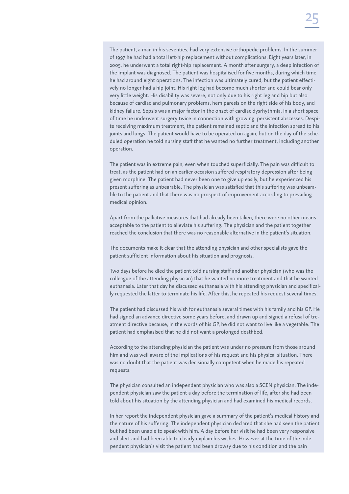The patient, a man in his seventies, had very extensive orthopedic problems. In the summer of 1997 he had had a total left-hip replacement without complications. Eight years later, in 2005, he underwent a total right-hip replacement. A month after surgery, a deep infection of the implant was diagnosed. The patient was hospitalised for five months, during which time he had around eight operations. The infection was ultimately cured, but the patient effectively no longer had a hip joint. His right leg had become much shorter and could bear only very little weight. His disability was severe, not only due to his right leg and hip but also because of cardiac and pulmonary problems, hemiparesis on the right side of his body, and kidney failure. Sepsis was a major factor in the onset of cardiac dysrhythmia. In a short space of time he underwent surgery twice in connection with growing, persistent abscesses. Despite receiving maximum treatment, the patient remained septic and the infection spread to his joints and lungs. The patient would have to be operated on again, but on the day of the scheduled operation he told nursing staff that he wanted no further treatment, including another operation.

The patient was in extreme pain, even when touched superficially. The pain was difficult to treat, as the patient had on an earlier occasion suffered respiratory depression after being given morphine. The patient had never been one to give up easily, but he experienced his present suffering as unbearable. The physician was satisfied that this suffering was unbearable to the patient and that there was no prospect of improvement according to prevailing medical opinion.

Apart from the palliative measures that had already been taken, there were no other means acceptable to the patient to alleviate his suffering. The physician and the patient together reached the conclusion that there was no reasonable alternative in the patient's situation.

The documents make it clear that the attending physician and other specialists gave the patient sufficient information about his situation and prognosis.

Two days before he died the patient told nursing staff and another physician (who was the colleague of the attending physician) that he wanted no more treatment and that he wanted euthanasia. Later that day he discussed euthanasia with his attending physician and specifically requested the latter to terminate his life. After this, he repeated his request several times.

The patient had discussed his wish for euthanasia several times with his family and his GP. He had signed an advance directive some years before, and drawn up and signed a refusal of treatment directive because, in the words of his GP, he did not want to live like a vegetable. The patient had emphasised that he did not want a prolonged deathbed.

According to the attending physician the patient was under no pressure from those around him and was well aware of the implications of his request and his physical situation. There was no doubt that the patient was decisionally competent when he made his repeated requests.

The physician consulted an independent physician who was also a SCEN physician. The independent physician saw the patient a day before the termination of life, after she had been told about his situation by the attending physician and had examined his medical records.

In her report the independent physician gave a summary of the patient's medical history and the nature of his suffering. The independent physician declared that she had seen the patient but had been unable to speak with him. A day before her visit he had been very responsive and alert and had been able to clearly explain his wishes. However at the time of the independent physician's visit the patient had been drowsy due to his condition and the pain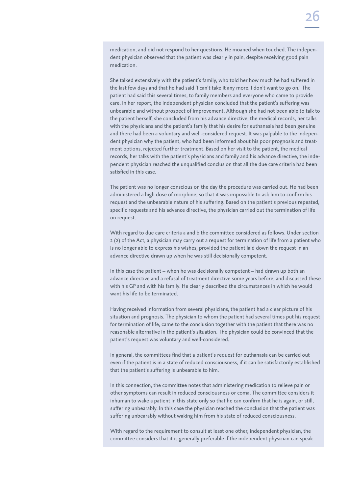medication, and did not respond to her questions. He moaned when touched. The independent physician observed that the patient was clearly in pain, despite receiving good pain medication.

She talked extensively with the patient's family, who told her how much he had suffered in the last few days and that he had said 'I can't take it any more. I don't want to go on.' The patient had said this several times, to family members and everyone who came to provide care. In her report, the independent physician concluded that the patient's suffering was unbearable and without prospect of improvement. Although she had not been able to talk to the patient herself, she concluded from his advance directive, the medical records, her talks with the physicians and the patient's family that his desire for euthanasia had been genuine and there had been a voluntary and well-considered request. It was palpable to the independent physician why the patient, who had been informed about his poor prognosis and treatment options, rejected further treatment. Based on her visit to the patient, the medical records, her talks with the patient's physicians and family and his advance directive, the independent physician reached the unqualified conclusion that all the due care criteria had been satisfied in this case.

The patient was no longer conscious on the day the procedure was carried out. He had been administered a high dose of morphine, so that it was impossible to ask him to confirm his request and the unbearable nature of his suffering. Based on the patient's previous repeated, specific requests and his advance directive, the physician carried out the termination of life on request.

With regard to due care criteria a and b the committee considered as follows. Under section 2 (2) of the Act, a physician may carry out a request for termination of life from a patient who is no longer able to express his wishes, provided the patient laid down the request in an advance directive drawn up when he was still decisionally competent.

In this case the patient – when he was decisionally competent – had drawn up both an advance directive and a refusal of treatment directive some years before, and discussed these with his GP and with his family. He clearly described the circumstances in which he would want his life to be terminated.

Having received information from several physicians, the patient had a clear picture of his situation and prognosis. The physician to whom the patient had several times put his request for termination of life, came to the conclusion together with the patient that there was no reasonable alternative in the patient's situation. The physician could be convinced that the patient's request was voluntary and well-considered.

In general, the committees find that a patient's request for euthanasia can be carried out even if the patient is in a state of reduced consciousness, if it can be satisfactorily established that the patient's suffering is unbearable to him.

In this connection, the committee notes that administering medication to relieve pain or other symptoms can result in reduced consciousness or coma. The committee considers it inhuman to wake a patient in this state only so that he can confirm that he is again, or still, suffering unbearably. In this case the physician reached the conclusion that the patient was suffering unbearably without waking him from his state of reduced consciousness.

With regard to the requirement to consult at least one other, independent physician, the committee considers that it is generally preferable if the independent physician can speak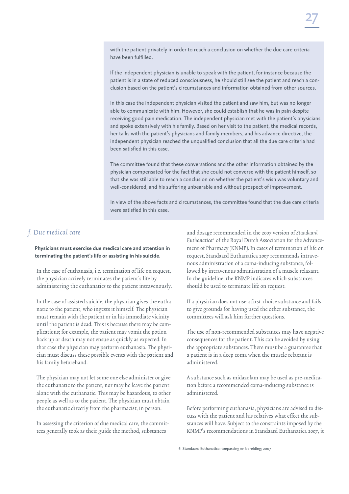with the patient privately in order to reach a conclusion on whether the due care criteria have been fulfilled.

If the independent physician is unable to speak with the patient, for instance because the patient is in a state of reduced consciousness, he should still see the patient and reach a conclusion based on the patient's circumstances and information obtained from other sources.

In this case the independent physician visited the patient and saw him, but was no longer able to communicate with him. However, she could establish that he was in pain despite receiving good pain medication. The independent physician met with the patient's physicians and spoke extensively with his family. Based on her visit to the patient, the medical records, her talks with the patient's physicians and family members, and his advance directive, the independent physician reached the unqualified conclusion that all the due care criteria had been satisfied in this case.

The committee found that these conversations and the other information obtained by the physician compensated for the fact that she could not converse with the patient himself, so that she was still able to reach a conclusion on whether the patient's wish was voluntary and well-considered, and his suffering unbearable and without prospect of improvement.

In view of the above facts and circumstances, the committee found that the due care criteria were satisfied in this case.

### f. Due medical care

**Physicians must exercise due medical care and attention in terminating the patient's life or assisting in his suicide.**

In the case of euthanasia, i.e. termination of life on request, the physician actively terminates the patient's life by administering the euthanatics to the patient intravenously.

In the case of assisted suicide, the physician gives the euthanatic to the patient, who ingests it himself. The physician must remain with the patient or in his immediate vicinity until the patient is dead. This is because there may be complications; for example, the patient may vomit the potion back up or death may not ensue as quickly as expected. In that case the physician may perform euthanasia. The physician must discuss these possible events with the patient and his family beforehand.

The physician may not let some one else administer or give the euthanatic to the patient, nor may he leave the patient alone with the euthanatic. This may be hazardous, to other people as well as to the patient. The physician must obtain the euthanatic directly from the pharmacist, in person.

In assessing the criterion of due medical care, the committees generally took as their guide the method, substances

and dosage recommended in the 2007 version of Standaard Euthanatica<sup>6</sup> of the Royal Dutch Association for the Advancement of Pharmacy (KNMP). In cases of termination of life on request, Standaard Euthanatica 2007 recommends intravenous administration of a coma-inducing substance, followed by intravenous administration of a muscle relaxant. In the guideline, the KNMP indicates which substances should be used to terminate life on request.

If a physician does not use a first-choice substance and fails to give grounds for having used the other substance, the committees will ask him further questions.

The use of non-recommended substances may have negative consequences for the patient. This can be avoided by using the appropriate substances. There must be a guarantee that a patient is in a deep coma when the muscle relaxant is administered.

A substance such as midazolam may be used as pre-medication before a recommended coma-inducing substance is administered.

Before performing euthanasia, physicians are advised to discuss with the patient and his relatives what effect the substances will have. Subject to the constraints imposed by the KNMP's recommendations in Standaard Euthanatica 2007, it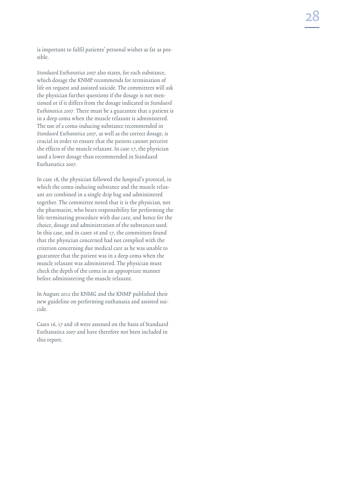is important to fulfil patients' personal wishes as far as pos sible.

Standaard Euthanatica 2007 also states, for each substance, which dosage the KNMP recommends for termination of life on request and assisted suicide. The committees will ask the physician further questions if the dosage is not men tioned or if it differs from the dosage indicated in Standaard Euthanatica 2007. There must be a guarantee that a patient is in a deep coma when the muscle relaxant is administered. The use of a coma-inducing substance recommended in Standaard Euthanatica 2007, as well as the correct dosage, is crucial in order to ensure that the patient cannot perceive the effects of the muscle relaxant. In case 17, the physician used a lower dosage than recommended in Standaard Euthanatica 2007.

In case 18, the physician followed the hospital's protocol, in which the coma-inducing substance and the muscle relax ant are combined in a single drip bag and administered together. The committee noted that it is the physician, not the pharmacist, who bears responsibility for performing the life-terminating procedure with due care, and hence for the choice, dosage and administration of the substances used. In this case, and in cases 16 and 17, the committees found that the physician concerned had not complied with the criterion concerning due medical care as he was unable to guarantee that the patient was in a deep coma when the muscle relaxant was administered. The physician must check the depth of the coma in an appropriate manner before administering the muscle relaxant.

In August 2012 the KNMG and the KNMP published their new guideline on performing euthanasia and assisted sui cide.

Cases 16, 17 and 18 were assessed on the basis of Standaard Euthanatica 2007 and have therefore not been included in this report.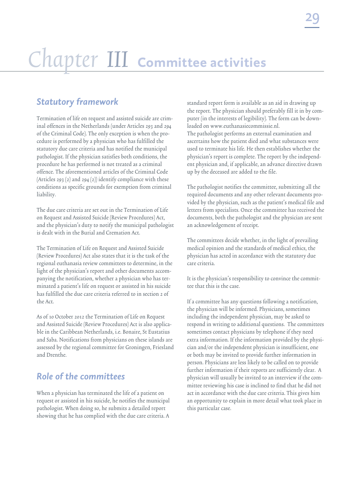# Chapter III **Committee activities**

## *Statutory framework*

Termination of life on request and assisted suicide are criminal offences in the Netherlands (under Articles 293 and 294 of the Criminal Code). The only exception is when the procedure is performed by a physician who has fulfilled the statutory due care criteria and has notified the municipal pathologist. If the physician satisfies both conditions, the procedure he has performed is not treated as a criminal offence. The aforementioned articles of the Criminal Code (Articles 293  $(2)$  and 294  $(2)$ ) identify compliance with these conditions as specific grounds for exemption from criminal liability.

The due care criteria are set out in the Termination of Life on Request and Assisted Suicide (Review Procedures) Act, and the physician's duty to notify the municipal pathologist is dealt with in the Burial and Cremation Act.

The Termination of Life on Request and Assisted Suicide (Review Procedures) Act also states that it is the task of the regional euthanasia review committees to determine, in the light of the physician's report and other documents accompanying the notification, whether a physician who has terminated a patient's life on request or assisted in his suicide has fulfilled the due care criteria referred to in section 2 of the Act.

As of 10 October 2012 the Termination of Life on Request and Assisted Suicide (Review Procedures) Act is also applicable in the Caribbean Netherlands, i.e. Bonaire, St Eustatius and Saba. Notifications from physicians on these islands are assessed by the regional committee for Groningen, Friesland and Drenthe.

## *Role of the committees*

When a physician has terminated the life of a patient on request or assisted in his suicide, he notifies the municipal pathologist. When doing so, he submits a detailed report showing that he has complied with the due care criteria. A

standard report form is available as an aid in drawing up the report. The physician should preferably fill it in by computer (in the interests of legibility). The form can be downloaded on www.euthanasiecommissie.nl. The pathologist performs an external examination and ascertains how the patient died and what substances were used to terminate his life. He then establishes whether the physician's report is complete. The report by the independent physician and, if applicable, an advance directive drawn up by the deceased are added to the file.

The pathologist notifies the committee, submitting all the required documents and any other relevant documents provided by the physician, such as the patient's medical file and letters from specialists. Once the committee has received the documents, both the pathologist and the physician are sent an acknowledgement of receipt.

The committees decide whether, in the light of prevailing medical opinion and the standards of medical ethics, the physician has acted in accordance with the statutory due care criteria.

It is the physician's responsibility to convince the committee that this is the case.

If a committee has any questions following a notification, the physician will be informed. Physicians, sometimes including the independent physician, may be asked to respond in writing to additional questions. The committees sometimes contact physicians by telephone if they need extra information. If the information provided by the physician and/or the independent physician is insufficient, one or both may be invited to provide further information in person. Physicians are less likely to be called on to provide further information if their reports are sufficiently clear. A physician will usually be invited to an interview if the committee reviewing his case is inclined to find that he did not act in accordance with the due care criteria. This gives him an opportunity to explain in more detail what took place in this particular case.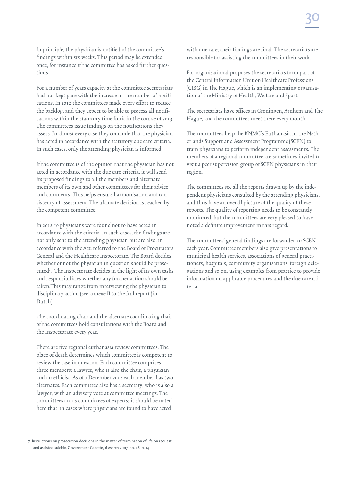In principle, the physician is notified of the committee's findings within six weeks. This period may be extended once, for instance if the committee has asked further questions.

For a number of years capacity at the committee secretariats had not kept pace with the increase in the number of notifications. In 2012 the committees made every effort to reduce the backlog, and they expect to be able to process all notifications within the statutory time limit in the course of 2013. The committees issue findings on the notifications they assess. In almost every case they conclude that the physician has acted in accordance with the statutory due care criteria. In such cases, only the attending physician is informed.

If the committee is of the opinion that the physician has not acted in accordance with the due care criteria, it will send its proposed findings to all the members and alternate members of its own and other committees for their advice and comments. This helps ensure harmonisation and consistency of assessment. The ultimate decision is reached by the competent committee.

In 2012 10 physicians were found not to have acted in accordance with the criteria. In such cases, the findings are not only sent to the attending physician but are also, in accordance with the Act, referred to the Board of Procurators General and the Healthcare Inspectorate. The Board decides whether or not the physician in question should be prosecuted7 . The Inspectorate decides in the light of its own tasks and responsibilities whether any further action should be taken.This may range from interviewing the physician to disciplinary action (see annexe II to the full report (in Dutch).

The coordinating chair and the alternate coordinating chair of the committees hold consultations with the Board and the Inspectorate every year.

There are five regional euthanasia review committees. The place of death determines which committee is competent to review the case in question. Each committee comprises three members: a lawyer, who is also the chair, a physician and an ethicist. As of 1 December 2012 each member has two alternates. Each committee also has a secretary, who is also a lawyer, with an advisory vote at committee meetings. The committees act as committees of experts; it should be noted here that, in cases where physicians are found to have acted

7 Instructions on prosecution decisions in the matter of termination of life on request and assisted suicide, Government Gazette, 6 March 2007, no. 46, p. 14

with due care, their findings are final. The secretariats are responsible for assisting the committees in their work.

For organisational purposes the secretariats form part of the Central Information Unit on Healthcare Professions (CIBG) in The Hague, which is an implementing organisation of the Ministry of Health, Welfare and Sport.

The secretariats have offices in Groningen, Arnhem and The Hague, and the committees meet there every month.

The committees help the KNMG's Euthanasia in the Netherlands Support and Assessment Programme (SCEN) to train physicians to perform independent assessments. The members of a regional committee are sometimes invited to visit a peer supervision group of SCEN physicians in their region.

The committees see all the reports drawn up by the independent physicians consulted by the attending physicians, and thus have an overall picture of the quality of these reports. The quality of reporting needs to be constantly monitored, but the committees are very pleased to have noted a definite improvement in this regard.

The committees' general findings are forwarded to SCEN each year. Committee members also give presentations to municipal health services, associations of general practitioners, hospitals, community organisations, foreign delegations and so on, using examples from practice to provide information on applicable procedures and the due care criteria.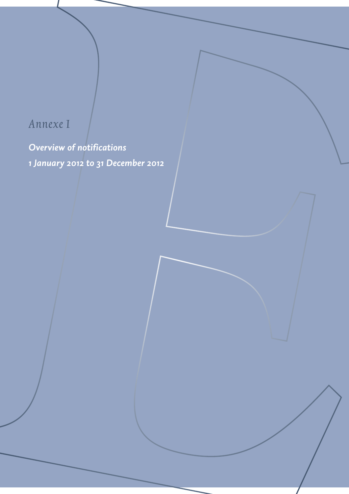## Annexe I

*Overview of notifications 1 January 2012 to 31 December 2012*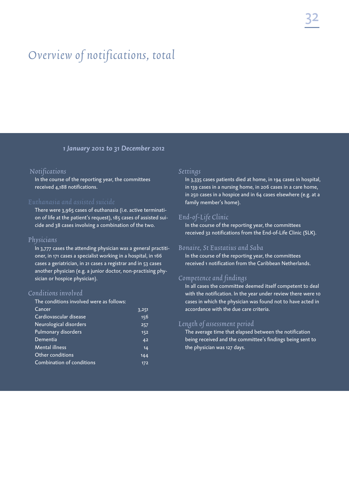## Overview of notifications, total

### *1 January 2012 to 31 December 2012*

### Notifications

In the course of the reporting year, the committees received 4,188 notifications.

There were 3,965 cases of euthanasia (i.e. active termination of life at the patient's request), 185 cases of assisted suicide and 38 cases involving a combination of the two.

### Physicians

In 3,777 cases the attending physician was a general practitioner, in 171 cases a specialist working in a hospital, in 166 cases a geriatrician, in 21 cases a registrar and in 53 cases another physician (e.g. a junior doctor, non-practising physician or hospice physician).

### Conditions involved

The conditions involved were as follows:

| $C$ ancer                 | 3,251 |
|---------------------------|-------|
| Cardiovascular disease    | 156   |
| Neurological disorders    | 257   |
| Pulmonary disorders       | 152   |
| Dementia                  | 42    |
| <b>Mental illness</b>     | 14    |
| Other conditions          | 144   |
| Combination of conditions | 172   |
|                           |       |

### Settings

In 3,335 cases patients died at home, in 194 cases in hospital, in 139 cases in a nursing home, in 206 cases in a care home, in 250 cases in a hospice and in 64 cases elsewhere (e.g. at a family member's home).

### End-of-Life Clinic

In the course of the reporting year, the committees received 32 notifications from the End-of-Life Clinic (SLK).

### Bonaire, St Eustatius and Saba

In the course of the reporting year, the committees received 1 notification from the Caribbean Netherlands.

### Competence and findings

In all cases the committee deemed itself competent to deal with the notification. In the year under review there were 10 cases in which the physician was found not to have acted in accordance with the due care criteria.

### Length of assessment period

The average time that elapsed between the notification being received and the committee's findings being sent to the physician was 127 days.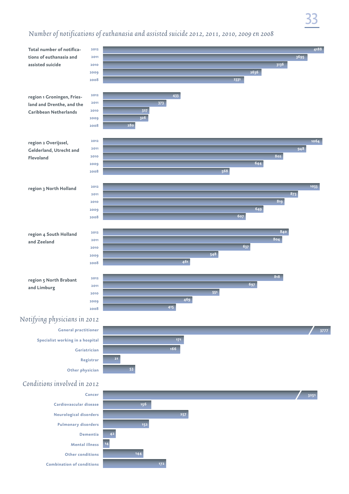## number of notifications of euthanasia and assisted suicide 2012, 2011, 2010, 2009 en 2008

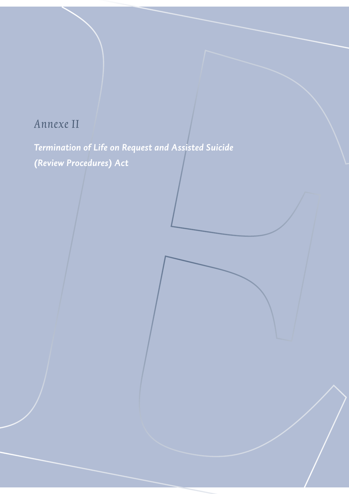## Annexe II

*Termination of Life on Request and Assisted Suicide (Review Procedures) Act*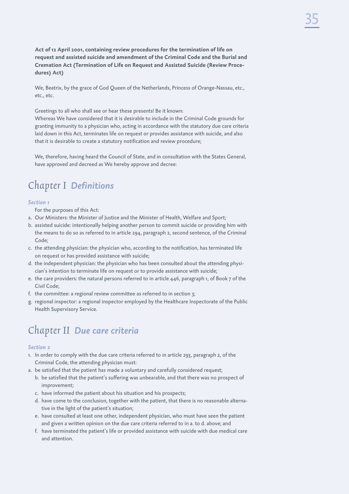**Act of 12 April 2001, containing review procedures for the termination of life on request and assisted suicide and amendment of the Criminal Code and the Burial and Cremation Act (Termination of Life on Request and Assisted Suicide (Review Procedures) Act)**

We, Beatrix, by the grace of God Queen of the Netherlands, Princess of Orange-Nassau, etc., etc., etc.

Greetings to all who shall see or hear these presents! Be it known:

Whereas We have considered that it is desirable to include in the Criminal Code grounds for granting immunity to a physician who, acting in accordance with the statutory due care criteria laid down in this Act, terminates life on request or provides assistance with suicide, and also that it is desirable to create a statutory notification and review procedure;

We, therefore, having heard the Council of State, and in consultation with the States General, have approved and decreed as We hereby approve and decree:

## Chapter I *Definitions*

### *Section 1*

For the purposes of this Act:

- a. Our Ministers: the Minister of Justice and the Minister of Health, Welfare and Sport;
- b. assisted suicide: intentionally helping another person to commit suicide or providing him with the means to do so as referred to in article 294, paragraph 2, second sentence, of the Criminal Code;
- c. the attending physician: the physician who, according to the notification, has terminated life on request or has provided assistance with suicide;
- d. the independent physician: the physician who has been consulted about the attending physician's intention to terminate life on request or to provide assistance with suicide;
- e. the care providers: the natural persons referred to in article 446, paragraph 1, of Book 7 of the Civil Code;
- f. the committee: a regional review committee as referred to in section 3;
- g. regional inspector: a regional inspector employed by the Healthcare Inspectorate of the Public Health Supervisory Service.

## Chapter II *Due care criteria*

### *Section 2*

- 1. In order to comply with the due care criteria referred to in article 293, paragraph 2, of the Criminal Code, the attending physician must:
- a. be satisfied that the patient has made a voluntary and carefully considered request;
	- b. be satisfied that the patient's suffering was unbearable, and that there was no prospect of improvement;
	- c. have informed the patient about his situation and his prospects;
	- d. have come to the conclusion, together with the patient, that there is no reasonable alternative in the light of the patient's situation;
	- e. have consulted at least one other, independent physician, who must have seen the patient and given a written opinion on the due care criteria referred to in a. to d. above; and
	- f. have terminated the patient's life or provided assistance with suicide with due medical care and attention.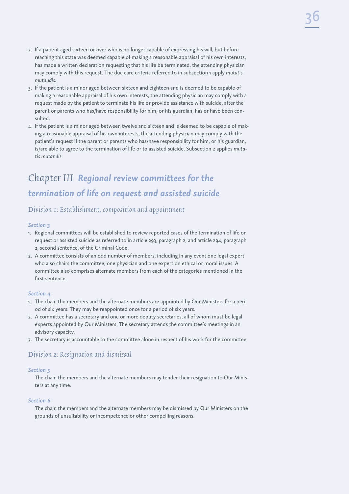- 2. If a patient aged sixteen or over who is no longer capable of expressing his will, but before reaching this state was deemed capable of making a reasonable appraisal of his own interests, has made a written declaration requesting that his life be terminated, the attending physician may comply with this request. The due care criteria referred to in subsection 1 apply *mutatis mutandis*.
- 3. If the patient is a minor aged between sixteen and eighteen and is deemed to be capable of making a reasonable appraisal of his own interests, the attending physician may comply with a request made by the patient to terminate his life or provide assistance with suicide, after the parent or parents who has/have responsibility for him, or his guardian, has or have been consulted.
- 4. If the patient is a minor aged between twelve and sixteen and is deemed to be capable of making a reasonable appraisal of his own interests, the attending physician may comply with the patient's request if the parent or parents who has/have responsibility for him, or his guardian, is/are able to agree to the termination of life or to assisted suicide. Subsection 2 applies *mutatis mutandis*.

## Chapter III *Regional review committees for the termination of life on request and assisted suicide*

### Division 1: Establishment, composition and appointment

### *Section 3*

- 1. Regional committees will be established to review reported cases of the termination of life on request or assisted suicide as referred to in article 293, paragraph 2, and article 294, paragraph 2, second sentence, of the Criminal Code.
- 2. A committee consists of an odd number of members, including in any event one legal expert who also chairs the committee, one physician and one expert on ethical or moral issues. A committee also comprises alternate members from each of the categories mentioned in the first sentence.

### *Section 4*

- 1. The chair, the members and the alternate members are appointed by Our Ministers for a period of six years. They may be reappointed once for a period of six years.
- 2. A committee has a secretary and one or more deputy secretaries, all of whom must be legal experts appointed by Our Ministers. The secretary attends the committee's meetings in an advisory capacity.
- 3. The secretary is accountable to the committee alone in respect of his work for the committee.

### Division 2: Resignation and dismissal

### *Section 5*

The chair, the members and the alternate members may tender their resignation to Our Ministers at any time.

### *Section 6*

The chair, the members and the alternate members may be dismissed by Our Ministers on the grounds of unsuitability or incompetence or other compelling reasons.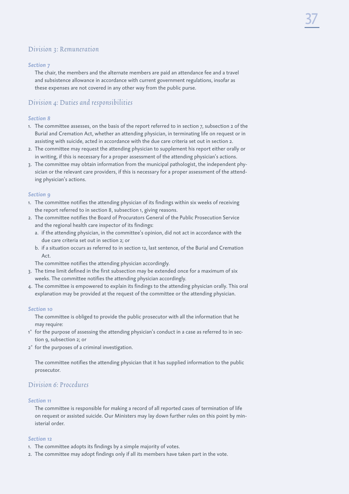### Division 3: Remuneration

### *Section 7*

The chair, the members and the alternate members are paid an attendance fee and a travel and subsistence allowance in accordance with current government regulations, insofar as these expenses are not covered in any other way from the public purse.

### Division 4: Duties and responsibilities

### *Section 8*

- 1. The committee assesses, on the basis of the report referred to in section 7, subsection 2 of the Burial and Cremation Act, whether an attending physician, in terminating life on request or in assisting with suicide, acted in accordance with the due care criteria set out in section 2.
- 2. The committee may request the attending physician to supplement his report either orally or in writing, if this is necessary for a proper assessment of the attending physician's actions.
- 3. The committee may obtain information from the municipal pathologist, the independent physician or the relevant care providers, if this is necessary for a proper assessment of the attending physician's actions.

### *Section 9*

- 1. The committee notifies the attending physician of its findings within six weeks of receiving the report referred to in section 8, subsection 1, giving reasons.
- 2. The committee notifies the Board of Procurators General of the Public Prosecution Service and the regional health care inspector of its findings:
	- a. if the attending physician, in the committee's opinion, did not act in accordance with the due care criteria set out in section 2; or
	- b. if a situation occurs as referred to in section 12, last sentence, of the Burial and Cremation Act.

The committee notifies the attending physician accordingly.

- 3. The time limit defined in the first subsection may be extended once for a maximum of six weeks. The committee notifies the attending physician accordingly.
- 4. The committee is empowered to explain its findings to the attending physician orally. This oral explanation may be provided at the request of the committee or the attending physician.

### *Section 10*

The committee is obliged to provide the public prosecutor with all the information that he may require:

- 1° for the purpose of assessing the attending physician's conduct in a case as referred to in section 9, subsection 2; or
- 2° for the purposes of a criminal investigation.

The committee notifies the attending physician that it has supplied information to the public prosecutor.

### Division 6: Procedures

### *Section 11*

The committee is responsible for making a record of all reported cases of termination of life on request or assisted suicide. Our Ministers may lay down further rules on this point by ministerial order.

### *Section 12*

- 1. The committee adopts its findings by a simple majority of votes.
- 2. The committee may adopt findings only if all its members have taken part in the vote.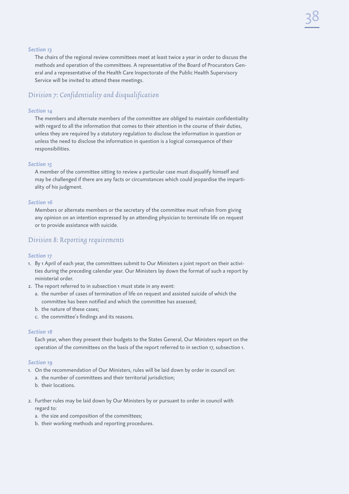### *Section 13*

The chairs of the regional review committees meet at least twice a year in order to discuss the methods and operation of the committees. A representative of the Board of Procurators General and a representative of the Health Care Inspectorate of the Public Health Supervisory Service will be invited to attend these meetings.

### Division 7: Confidentiality and disqualification

### *Section 14*

The members and alternate members of the committee are obliged to maintain confidentiality with regard to all the information that comes to their attention in the course of their duties, unless they are required by a statutory regulation to disclose the information in question or unless the need to disclose the information in question is a logical consequence of their responsibilities.

### *Section 15*

A member of the committee sitting to review a particular case must disqualify himself and may be challenged if there are any facts or circumstances which could jeopardise the impartiality of his judgment.

### *Section 16*

Members or alternate members or the secretary of the committee must refrain from giving any opinion on an intention expressed by an attending physician to terminate life on request or to provide assistance with suicide.

### Division 8: Reporting requirements

### *Section 17*

- 1. By 1 April of each year, the committees submit to Our Ministers a joint report on their activities during the preceding calendar year. Our Ministers lay down the format of such a report by ministerial order.
- 2. The report referred to in subsection 1 must state in any event:
	- a. the number of cases of termination of life on request and assisted suicide of which the committee has been notified and which the committee has assessed;
	- b. the nature of these cases;
	- c. the committee's findings and its reasons.

### *Section 18*

Each year, when they present their budgets to the States General, Our Ministers report on the operation of the committees on the basis of the report referred to in section 17, subsection 1.

### *Section 19*

- 1. On the recommendation of Our Ministers, rules will be laid down by order in council on:
	- a. the number of committees and their territorial jurisdiction;
	- b. their locations.
- 2. Further rules may be laid down by Our Ministers by or pursuant to order in council with regard to:
	- a. the size and composition of the committees;
	- b. their working methods and reporting procedures.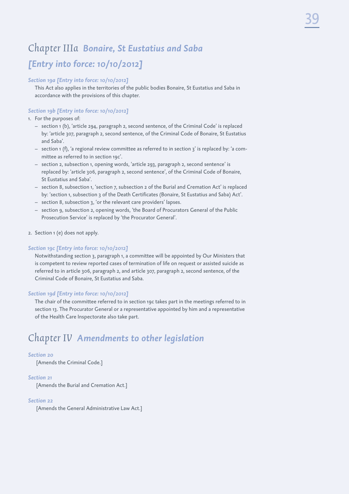## Chapter IIIa *Bonaire, St Eustatius and Saba [Entry into force: 10/10/2012]*

### *Section 19a [Entry into force: 10/10/2012]*

This Act also applies in the territories of the public bodies Bonaire, St Eustatius and Saba in accordance with the provisions of this chapter.

### *Section 19b [Entry into force: 10/10/2012]*

### 1. For the purposes of:

- section 1 (b), 'article 294, paragraph 2, second sentence, of the Criminal Code' is replaced by: 'article 307, paragraph 2, second sentence, of the Criminal Code of Bonaire, St Eustatius and Saba'.
- $-$  section 1 (f), 'a regional review committee as referred to in section 3' is replaced by: 'a committee as referred to in section 19c'.
- section 2, subsection 1, opening words, 'article 293, paragraph 2, second sentence' is replaced by: 'article 306, paragraph 2, second sentence', of the Criminal Code of Bonaire, St Eustatius and Saba'.
- section 8, subsection 1, 'section 7, subsection 2 of the Burial and Cremation Act' is replaced by: 'section 1, subsection 3 of the Death Certificates (Bonaire, St Eustatius and Saba) Act'.
- section 8, subsection 3, 'or the relevant care providers' lapses.
- $-$  section 9, subsection 2, opening words, 'the Board of Procurators General of the Public Prosecution Service' is replaced by 'the Procurator General'.
- 2. Section 1 (e) does not apply.

### *Section 19c [Entry into force: 10/10/2012]*

Notwithstanding section 3, paragraph 1, a committee will be appointed by Our Ministers that is competent to review reported cases of termination of life on request or assisted suicide as referred to in article 306, paragraph 2, and article 307, paragraph 2, second sentence, of the Criminal Code of Bonaire, St Eustatius and Saba.

### *Section 19d [Entry into force: 10/10/2012]*

The chair of the committee referred to in section 19c takes part in the meetings referred to in section 13. The Procurator General or a representative appointed by him and a representative of the Health Care Inspectorate also take part.

## Chapter IV *Amendments to other legislation*

### *Section 20*

[Amends the Criminal Code.]

### *Section 21*

[Amends the Burial and Cremation Act.]

### *Section 22*

[Amends the General Administrative Law Act.]